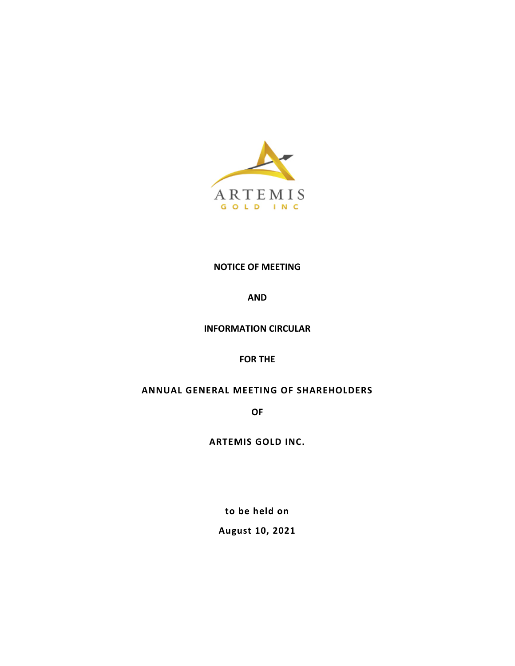

# **NOTICE OF MEETING**

**AND**

## **INFORMATION CIRCULAR**

**FOR THE**

# **ANNUAL GENERAL MEETING OF SHAREHOLDERS**

**OF**

**ARTEMIS GOLD INC.**

**to be held on**

**August 10, 2021**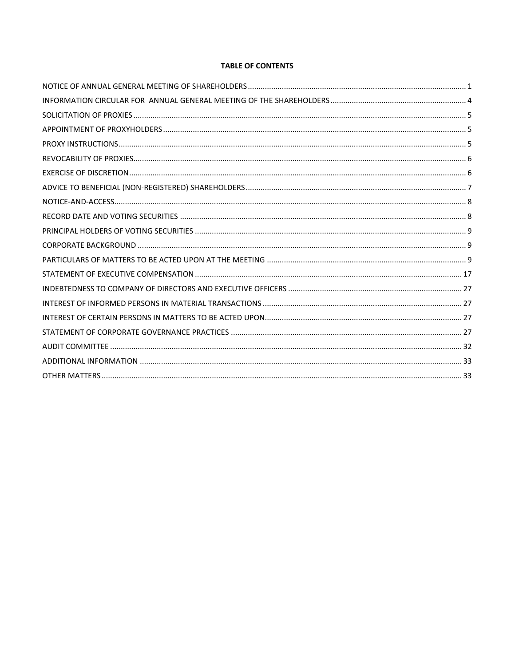## **TABLE OF CONTENTS**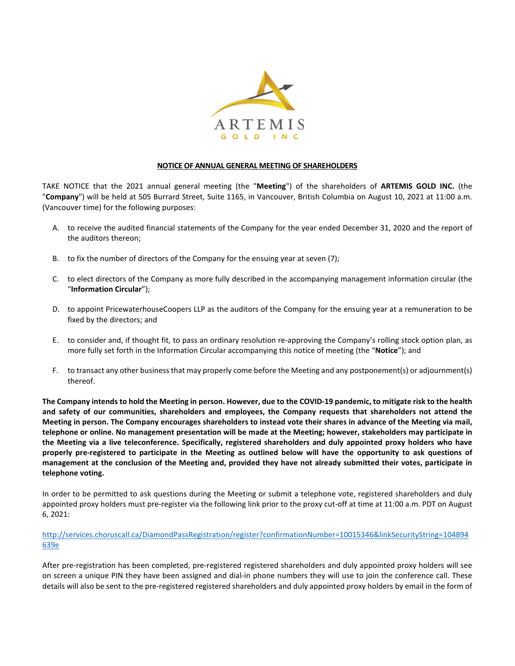

## **NOTICE OF ANNUAL GENERAL MEETING OF SHAREHOLDERS**

<span id="page-2-0"></span>TAKE NOTICE that the 2021 annual general meeting (the "**Meeting**") of the shareholders of **ARTEMIS GOLD INC.** (the "**Company**") will be held at 505 Burrard Street, Suite 1165, in Vancouver, British Columbia on August 10, 2021 at 11:00 a.m. (Vancouver time) for the following purposes:

- A. to receive the audited financial statements of the Company for the year ended December 31, 2020 and the report of the auditors thereon;
- B. to fix the number of directors of the Company for the ensuing year at seven (7);
- C. to elect directors of the Company as more fully described in the accompanying management information circular (the "**Information Circular**");
- D. to appoint PricewaterhouseCoopers LLP as the auditors of the Company for the ensuing year at a remuneration to be fixed by the directors; and
- E. to consider and, if thought fit, to pass an ordinary resolution re-approving the Company's rolling stock option plan, as more fully set forth in the Information Circular accompanying this notice of meeting (the "**Notice**"); and
- F. to transact any other business that may properly come before the Meeting and any postponement(s) or adjournment(s) thereof.

**The Company intends to hold the Meeting in person. However, due to the COVID-19 pandemic, to mitigate risk to the health and safety of our communities, shareholders and employees, the Company requests that shareholders not attend the Meeting in person. The Company encourages shareholders to instead vote their shares in advance of the Meeting via mail, telephone or online. No management presentation will be made at the Meeting; however, stakeholders may participate in the Meeting via a live teleconference. Specifically, registered shareholders and duly appointed proxy holders who have properly pre-registered to participate in the Meeting as outlined below will have the opportunity to ask questions of management at the conclusion of the Meeting and, provided they have not already submitted their votes, participate in telephone voting.**

In order to be permitted to ask questions during the Meeting or submit a telephone vote, registered shareholders and duly appointed proxy holders must pre-register via the following link prior to the proxy cut-off at time at 11:00 a.m. PDT on August 6, 2021:

[http://services.choruscall.ca/DiamondPassRegistration/register?confirmationNumber=10015346&linkSecurityString=104894](http://services.choruscall.ca/DiamondPassRegistration/register?confirmationNumber=10015346&linkSecurityString=104894639e) [639e](http://services.choruscall.ca/DiamondPassRegistration/register?confirmationNumber=10015346&linkSecurityString=104894639e)

After pre-registration has been completed, pre-registered registered shareholders and duly appointed proxy holders will see on screen a unique PIN they have been assigned and dial-in phone numbers they will use to join the conference call. These details will also be sent to the pre-registered registered shareholders and duly appointed proxy holders by email in the form of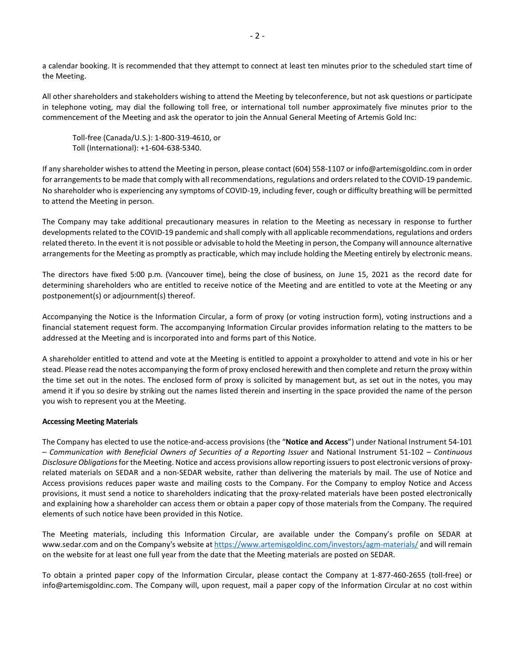a calendar booking. It is recommended that they attempt to connect at least ten minutes prior to the scheduled start time of the Meeting.

All other shareholders and stakeholders wishing to attend the Meeting by teleconference, but not ask questions or participate in telephone voting, may dial the following toll free, or international toll number approximately five minutes prior to the commencement of the Meeting and ask the operator to join the Annual General Meeting of Artemis Gold Inc:

Toll-free (Canada/U.S.): 1-800-319-4610, or Toll (International): +1-604-638-5340.

If any shareholder wishes to attend the Meeting in person, please contact (604) 558-1107 or info@artemisgoldinc.com in order for arrangements to be made that comply with all recommendations, regulations and orders related to the COVID-19 pandemic. No shareholder who is experiencing any symptoms of COVID-19, including fever, cough or difficulty breathing will be permitted to attend the Meeting in person.

The Company may take additional precautionary measures in relation to the Meeting as necessary in response to further developments related to the COVID-19 pandemic and shall comply with all applicable recommendations, regulations and orders related thereto. In the event it is not possible or advisable to hold the Meeting in person, the Company will announce alternative arrangements for the Meeting as promptly as practicable, which may include holding the Meeting entirely by electronic means.

The directors have fixed 5:00 p.m. (Vancouver time), being the close of business, on June 15, 2021 as the record date for determining shareholders who are entitled to receive notice of the Meeting and are entitled to vote at the Meeting or any postponement(s) or adjournment(s) thereof.

Accompanying the Notice is the Information Circular, a form of proxy (or voting instruction form), voting instructions and a financial statement request form. The accompanying Information Circular provides information relating to the matters to be addressed at the Meeting and is incorporated into and forms part of this Notice.

A shareholder entitled to attend and vote at the Meeting is entitled to appoint a proxyholder to attend and vote in his or her stead. Please read the notes accompanying the form of proxy enclosed herewith and then complete and return the proxy within the time set out in the notes. The enclosed form of proxy is solicited by management but, as set out in the notes, you may amend it if you so desire by striking out the names listed therein and inserting in the space provided the name of the person you wish to represent you at the Meeting.

## **Accessing Meeting Materials**

The Company has elected to use the notice-and-access provisions (the "**Notice and Access**") under National Instrument 54-101 – *Communication with Beneficial Owners of Securities of a Reporting Issuer* and National Instrument 51-102 – *Continuous Disclosure Obligations* for the Meeting. Notice and access provisions allow reporting issuers to post electronic versions of proxyrelated materials on SEDAR and a non-SEDAR website, rather than delivering the materials by mail. The use of Notice and Access provisions reduces paper waste and mailing costs to the Company. For the Company to employ Notice and Access provisions, it must send a notice to shareholders indicating that the proxy-related materials have been posted electronically and explaining how a shareholder can access them or obtain a paper copy of those materials from the Company. The required elements of such notice have been provided in this Notice.

The Meeting materials, including this Information Circular, are available under the Company's profile on SEDAR at www.sedar.com and on the Company's website at<https://www.artemisgoldinc.com/investors/agm-materials/> and will remain on the website for at least one full year from the date that the Meeting materials are posted on SEDAR.

To obtain a printed paper copy of the Information Circular, please contact the Company at 1-877-460-2655 (toll-free) or [info@artemisgoldinc.com.](mailto:info@artemisgoldinc.com) The Company will, upon request, mail a paper copy of the Information Circular at no cost within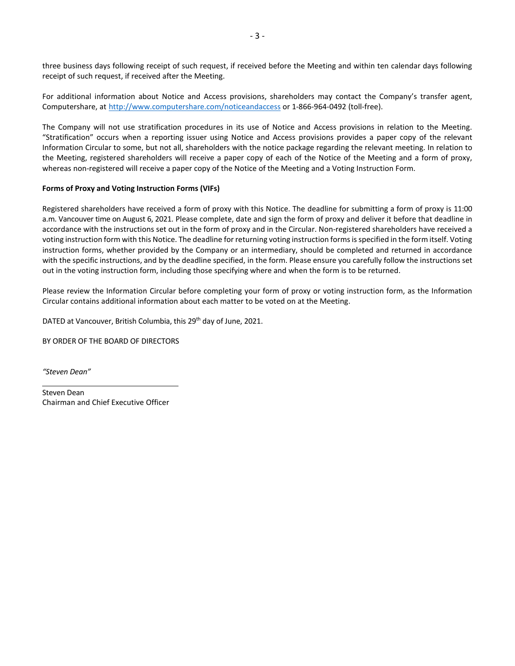three business days following receipt of such request, if received before the Meeting and within ten calendar days following receipt of such request, if received after the Meeting.

For additional information about Notice and Access provisions, shareholders may contact the Company's transfer agent, Computershare, at http:/[/www.computershare.com/noticeandaccess](http://www.computershare.com/noticeandaccess) or 1-866-964-0492 (toll-free).

The Company will not use stratification procedures in its use of Notice and Access provisions in relation to the Meeting. "Stratification" occurs when a reporting issuer using Notice and Access provisions provides a paper copy of the relevant Information Circular to some, but not all, shareholders with the notice package regarding the relevant meeting. In relation to the Meeting, registered shareholders will receive a paper copy of each of the Notice of the Meeting and a form of proxy, whereas non-registered will receive a paper copy of the Notice of the Meeting and a Voting Instruction Form.

## **Forms of Proxy and Voting Instruction Forms (VIFs)**

Registered shareholders have received a form of proxy with this Notice. The deadline for submitting a form of proxy is 11:00 a.m. Vancouver time on August 6, 2021. Please complete, date and sign the form of proxy and deliver it before that deadline in accordance with the instructions set out in the form of proxy and in the Circular. Non-registered shareholders have received a voting instruction form with this Notice. The deadline for returning voting instruction forms is specified in the form itself. Voting instruction forms, whether provided by the Company or an intermediary, should be completed and returned in accordance with the specific instructions, and by the deadline specified, in the form. Please ensure you carefully follow the instructions set out in the voting instruction form, including those specifying where and when the form is to be returned.

Please review the Information Circular before completing your form of proxy or voting instruction form, as the Information Circular contains additional information about each matter to be voted on at the Meeting.

DATED at Vancouver, British Columbia, this 29<sup>th</sup> day of June, 2021.

BY ORDER OF THE BOARD OF DIRECTORS

*"Steven Dean"*

Steven Dean Chairman and Chief Executive Officer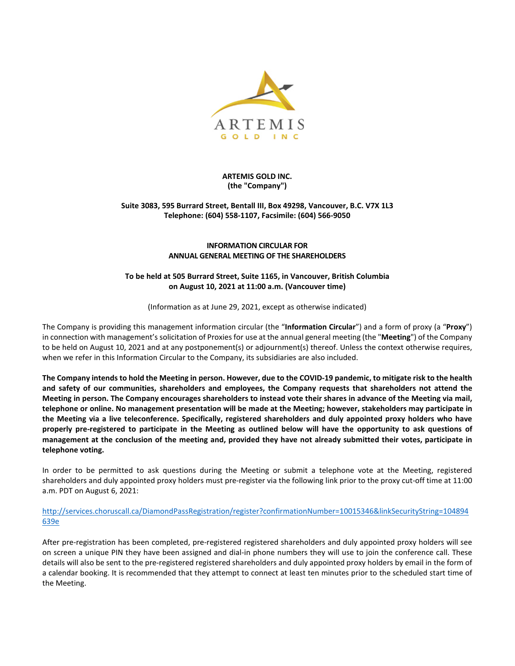

## **ARTEMIS GOLD INC. (the "Company")**

## **Suite 3083, 595 Burrard Street, Bentall III, Box 49298, Vancouver, B.C. V7X 1L3 Telephone: (604) 558-1107, Facsimile: (604) 566-9050**

## **INFORMATION CIRCULAR FOR ANNUAL GENERAL MEETING OF THE SHAREHOLDERS**

## **To be held at 505 Burrard Street, Suite 1165, in Vancouver, British Columbia on August 10, 2021 at 11:00 a.m. (Vancouver time)**

(Information as at June 29, 2021, except as otherwise indicated)

<span id="page-5-0"></span>The Company is providing this management information circular (the "**Information Circular**") and a form of proxy (a "**Proxy**") in connection with management's solicitation of Proxies for use at the annual general meeting (the "**Meeting**") of the Company to be held on August 10, 2021 and at any postponement(s) or adjournment(s) thereof. Unless the context otherwise requires, when we refer in this Information Circular to the Company, its subsidiaries are also included.

**The Company intends to hold the Meeting in person. However, due to the COVID-19 pandemic, to mitigate risk to the health and safety of our communities, shareholders and employees, the Company requests that shareholders not attend the Meeting in person. The Company encourages shareholders to instead vote their shares in advance of the Meeting via mail, telephone or online. No management presentation will be made at the Meeting; however, stakeholders may participate in the Meeting via a live teleconference. Specifically, registered shareholders and duly appointed proxy holders who have properly pre-registered to participate in the Meeting as outlined below will have the opportunity to ask questions of management at the conclusion of the meeting and, provided they have not already submitted their votes, participate in telephone voting.**

In order to be permitted to ask questions during the Meeting or submit a telephone vote at the Meeting, registered shareholders and duly appointed proxy holders must pre-register via the following link prior to the proxy cut-off time at 11:00 a.m. PDT on August 6, 2021:

[http://services.choruscall.ca/DiamondPassRegistration/register?confirmationNumber=10015346&linkSecurityString=104894](http://services.choruscall.ca/DiamondPassRegistration/register?confirmationNumber=10015346&linkSecurityString=104894639e) [639e](http://services.choruscall.ca/DiamondPassRegistration/register?confirmationNumber=10015346&linkSecurityString=104894639e)

After pre-registration has been completed, pre-registered registered shareholders and duly appointed proxy holders will see on screen a unique PIN they have been assigned and dial-in phone numbers they will use to join the conference call. These details will also be sent to the pre-registered registered shareholders and duly appointed proxy holders by email in the form of a calendar booking. It is recommended that they attempt to connect at least ten minutes prior to the scheduled start time of the Meeting.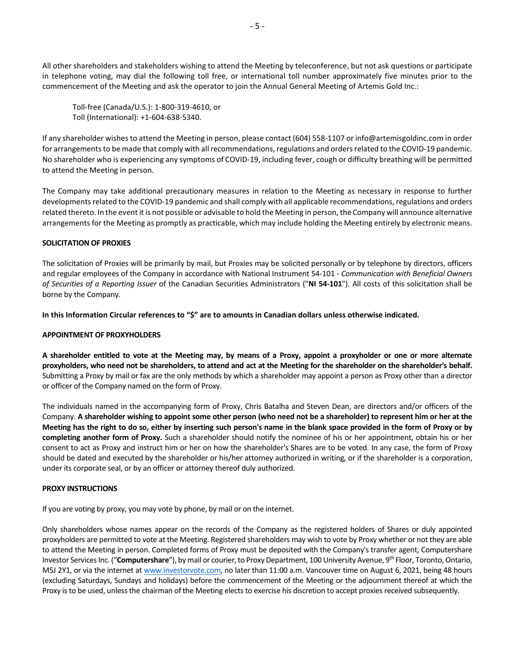All other shareholders and stakeholders wishing to attend the Meeting by teleconference, but not ask questions or participate in telephone voting, may dial the following toll free, or international toll number approximately five minutes prior to the commencement of the Meeting and ask the operator to join the Annual General Meeting of Artemis Gold Inc.:

Toll-free (Canada/U.S.): 1-800-319-4610, or Toll (International): +1-604-638-5340.

If any shareholder wishes to attend the Meeting in person, please contact (604) 558-1107 or info@artemisgoldinc.com in order for arrangements to be made that comply with all recommendations, regulations and orders related to the COVID-19 pandemic. No shareholder who is experiencing any symptoms of COVID-19, including fever, cough or difficulty breathing will be permitted to attend the Meeting in person.

The Company may take additional precautionary measures in relation to the Meeting as necessary in response to further developments related to the COVID-19 pandemic and shall comply with all applicable recommendations, regulations and orders related thereto. In the event it is not possible or advisable to hold the Meeting in person, the Company will announce alternative arrangements for the Meeting as promptly as practicable, which may include holding the Meeting entirely by electronic means.

## <span id="page-6-0"></span>**SOLICITATION OF PROXIES**

The solicitation of Proxies will be primarily by mail, but Proxies may be solicited personally or by telephone by directors, officers and regular employees of the Company in accordance with National Instrument 54-101 - *Communication with Beneficial Owners of Securities of a Reporting Issuer* of the Canadian Securities Administrators ("**NI 54-101**"). All costs of this solicitation shall be borne by the Company.

**In this Information Circular references to "\$" are to amounts in Canadian dollars unless otherwise indicated.**

### <span id="page-6-1"></span>**APPOINTMENT OF PROXYHOLDERS**

**A shareholder entitled to vote at the Meeting may, by means of a Proxy, appoint a proxyholder or one or more alternate proxyholders, who need not be shareholders, to attend and act at the Meeting for the shareholder on the shareholder's behalf.** Submitting a Proxy by mail or fax are the only methods by which a shareholder may appoint a person as Proxy other than a director or officer of the Company named on the form of Proxy.

The individuals named in the accompanying form of Proxy, Chris Batalha and Steven Dean, are directors and/or officers of the Company. **A shareholder wishing to appoint some other person (who need not be a shareholder) to represent him or her at the Meeting has the right to do so, either by inserting such person's name in the blank space provided in the form of Proxy or by completing another form of Proxy.** Such a shareholder should notify the nominee of his or her appointment, obtain his or her consent to act as Proxy and instruct him or her on how the shareholder's Shares are to be voted. In any case, the form of Proxy should be dated and executed by the shareholder or his/her attorney authorized in writing, or if the shareholder is a corporation, under its corporate seal, or by an officer or attorney thereof duly authorized.

#### <span id="page-6-2"></span>**PROXY INSTRUCTIONS**

If you are voting by proxy, you may vote by phone, by mail or on the internet.

Only shareholders whose names appear on the records of the Company as the registered holders of Shares or duly appointed proxyholders are permitted to vote at the Meeting. Registered shareholders may wish to vote by Proxy whether or not they are able to attend the Meeting in person. Completed forms of Proxy must be deposited with the Company's transfer agent, Computershare Investor Services Inc. ("**Computershare**"), by mail or courier, to Proxy Department, 100 University Avenue, 9th Floor, Toronto, Ontario, M5J 2Y1, or via the internet a[t www.investorvote.com,](http://www.investorvote.com/) no later than 11:00 a.m. Vancouver time on August 6, 2021, being 48 hours (excluding Saturdays, Sundays and holidays) before the commencement of the Meeting or the adjournment thereof at which the Proxy is to be used, unless the chairman of the Meeting elects to exercise his discretion to accept proxies received subsequently.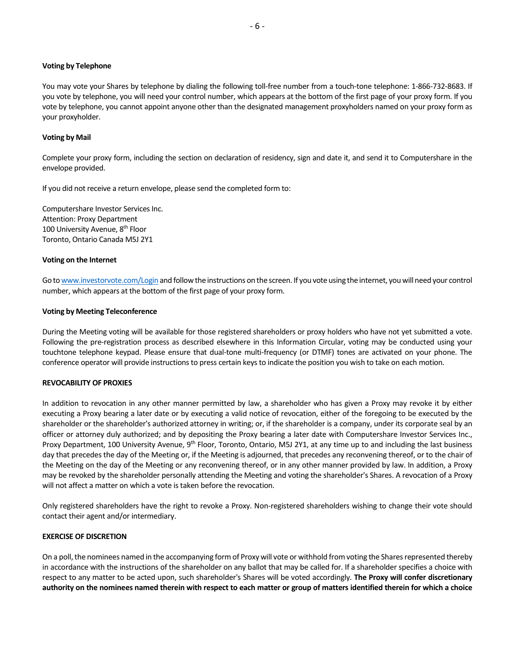#### **Voting by Telephone**

You may vote your Shares by telephone by dialing the following toll-free number from a touch-tone telephone: 1-866-732-8683. If you vote by telephone, you will need your control number, which appears at the bottom of the first page of your proxy form. If you vote by telephone, you cannot appoint anyone other than the designated management proxyholders named on your proxy form as your proxyholder.

#### **Voting by Mail**

Complete your proxy form, including the section on declaration of residency, sign and date it, and send it to Computershare in the envelope provided.

If you did not receive a return envelope, please send the completed form to:

Computershare Investor Services Inc. Attention: Proxy Department 100 University Avenue, 8<sup>th</sup> Floor Toronto, Ontario Canada M5J 2Y1

#### **Voting on the Internet**

Go t[o www.investorvote.com/Login](http://www.investorvote.com/Login) and follow the instructions on the screen. If you vote using the internet, you will need your control number, which appears at the bottom of the first page of your proxy form.

#### **Voting by Meeting Teleconference**

During the Meeting voting will be available for those registered shareholders or proxy holders who have not yet submitted a vote. Following the pre-registration process as described elsewhere in this Information Circular, voting may be conducted using your touchtone telephone keypad. Please ensure that dual-tone multi-frequency (or DTMF) tones are activated on your phone. The conference operator will provide instructions to press certain keys to indicate the position you wish to take on each motion.

### <span id="page-7-0"></span>**REVOCABILITY OF PROXIES**

In addition to revocation in any other manner permitted by law, a shareholder who has given a Proxy may revoke it by either executing a Proxy bearing a later date or by executing a valid notice of revocation, either of the foregoing to be executed by the shareholder or the shareholder's authorized attorney in writing; or, if the shareholder is a company, under its corporate seal by an officer or attorney duly authorized; and by depositing the Proxy bearing a later date with Computershare Investor Services Inc., Proxy Department, 100 University Avenue, 9<sup>th</sup> Floor, Toronto, Ontario, M5J 2Y1, at any time up to and including the last business day that precedes the day of the Meeting or, if the Meeting is adjourned, that precedes any reconvening thereof, or to the chair of the Meeting on the day of the Meeting or any reconvening thereof, or in any other manner provided by law. In addition, a Proxy may be revoked by the shareholder personally attending the Meeting and voting the shareholder's Shares. A revocation of a Proxy will not affect a matter on which a vote is taken before the revocation.

Only registered shareholders have the right to revoke a Proxy. Non-registered shareholders wishing to change their vote should contact their agent and/or intermediary.

#### <span id="page-7-1"></span>**EXERCISE OF DISCRETION**

On a poll, the nominees named in the accompanying form of Proxy will vote or withhold from voting the Shares represented thereby in accordance with the instructions of the shareholder on any ballot that may be called for. If a shareholder specifies a choice with respect to any matter to be acted upon, such shareholder's Shares will be voted accordingly. **The Proxy will confer discretionary authority on the nominees named therein with respect to each matter or group of matters identified therein for which a choice**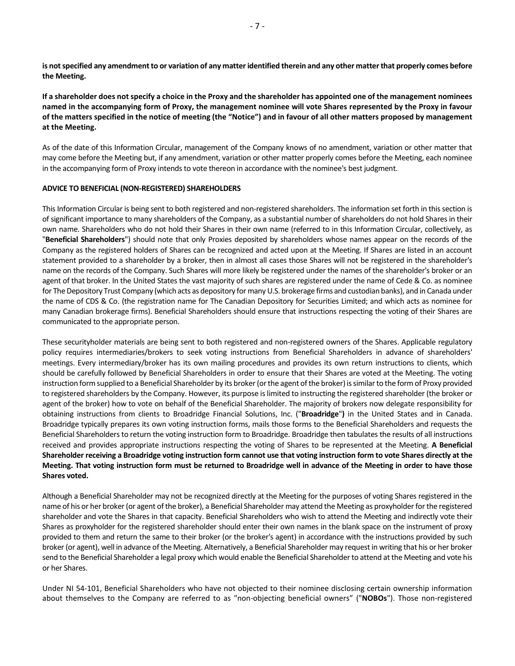**is not specified any amendment to or variation of any matter identified therein and any other matter that properly comes before the Meeting.**

**If a shareholder does not specify a choice in the Proxy and the shareholder has appointed one of the management nominees named in the accompanying form of Proxy, the management nominee will vote Shares represented by the Proxy in favour of the matters specified in the notice of meeting (the "Notice") and in favour of all other matters proposed by management at the Meeting.**

As of the date of this Information Circular, management of the Company knows of no amendment, variation or other matter that may come before the Meeting but, if any amendment, variation or other matter properly comes before the Meeting, each nominee in the accompanying form of Proxy intends to vote thereon in accordance with the nominee's best judgment.

#### <span id="page-8-0"></span>**ADVICE TO BENEFICIAL (NON-REGISTERED) SHAREHOLDERS**

This Information Circular is being sent to both registered and non-registered shareholders. The information set forth in this section is of significant importance to many shareholders of the Company, as a substantial number of shareholders do not hold Shares in their own name. Shareholders who do not hold their Shares in their own name (referred to in this Information Circular, collectively, as "**Beneficial Shareholders**") should note that only Proxies deposited by shareholders whose names appear on the records of the Company as the registered holders of Shares can be recognized and acted upon at the Meeting. If Shares are listed in an account statement provided to a shareholder by a broker, then in almost all cases those Shares will not be registered in the shareholder's name on the records of the Company. Such Shares will more likely be registered under the names of the shareholder's broker or an agent of that broker. In the United States the vast majority of such shares are registered under the name of Cede & Co. as nominee for The Depository Trust Company (which acts as depository for many U.S. brokerage firms and custodian banks), and in Canada under the name of CDS & Co. (the registration name for The Canadian Depository for Securities Limited; and which acts as nominee for many Canadian brokerage firms). Beneficial Shareholders should ensure that instructions respecting the voting of their Shares are communicated to the appropriate person.

These securityholder materials are being sent to both registered and non-registered owners of the Shares. Applicable regulatory policy requires intermediaries/brokers to seek voting instructions from Beneficial Shareholders in advance of shareholders' meetings. Every intermediary/broker has its own mailing procedures and provides its own return instructions to clients, which should be carefully followed by Beneficial Shareholders in order to ensure that their Shares are voted at the Meeting. The voting instruction form supplied to a Beneficial Shareholder by its broker (or the agent of the broker) is similar to the form of Proxy provided to registered shareholders by the Company. However, its purpose is limited to instructing the registered shareholder (the broker or agent of the broker) how to vote on behalf of the Beneficial Shareholder. The majority of brokers now delegate responsibility for obtaining instructions from clients to Broadridge Financial Solutions, Inc. ("**Broadridge**"**)** in the United States and in Canada. Broadridge typically prepares its own voting instruction forms, mails those forms to the Beneficial Shareholders and requests the Beneficial Shareholders to return the voting instruction form to Broadridge. Broadridge then tabulates the results of all instructions received and provides appropriate instructions respecting the voting of Shares to be represented at the Meeting. **A Beneficial Shareholder receiving a Broadridge voting instruction form cannot use that voting instruction form to vote Shares directly at the Meeting. That voting instruction form must be returned to Broadridge well in advance of the Meeting in order to have those Shares voted.**

Although a Beneficial Shareholder may not be recognized directly at the Meeting for the purposes of voting Shares registered in the name of his or her broker (or agent of the broker), a Beneficial Shareholder may attend the Meeting as proxyholder for the registered shareholder and vote the Shares in that capacity. Beneficial Shareholders who wish to attend the Meeting and indirectly vote their Shares as proxyholder for the registered shareholder should enter their own names in the blank space on the instrument of proxy provided to them and return the same to their broker (or the broker's agent) in accordance with the instructions provided by such broker (or agent), well in advance of the Meeting. Alternatively, a Beneficial Shareholder may request in writing that his or her broker send to the Beneficial Shareholder a legal proxy which would enable the Beneficial Shareholder to attend at the Meeting and vote his or her Shares.

Under NI 54-101, Beneficial Shareholders who have not objected to their nominee disclosing certain ownership information about themselves to the Company are referred to as "non-objecting beneficial owners" ("**NOBOs**"). Those non-registered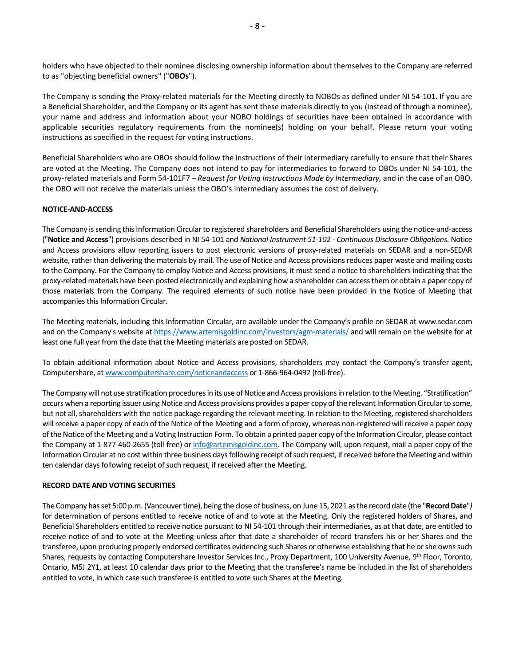holders who have objected to their nominee disclosing ownership information about themselves to the Company are referred to as "objecting beneficial owners" ("**OBOs**").

The Company is sending the Proxy-related materials for the Meeting directly to NOBOs as defined under NI 54-101. If you are a Beneficial Shareholder, and the Company or its agent has sent these materials directly to you (instead of through a nominee), your name and address and information about your NOBO holdings of securities have been obtained in accordance with applicable securities regulatory requirements from the nominee(s) holding on your behalf. Please return your voting instructions as specified in the request for voting instructions.

Beneficial Shareholders who are OBOs should follow the instructions of their intermediary carefully to ensure that their Shares are voted at the Meeting. The Company does not intend to pay for intermediaries to forward to OBOs under NI 54-101, the proxy-related materials and Form 54-101F7 – *Request for Voting Instructions Made by Intermediary,* and in the case of an OBO, the OBO will not receive the materials unless the OBO's intermediary assumes the cost of delivery.

## <span id="page-9-0"></span>**NOTICE-AND-ACCESS**

The Company is sending this Information Circular to registered shareholders and Beneficial Shareholders using the notice-and-access ("**Notice and Access**") provisions described in NI 54-101 and *National Instrument 51-102 - Continuous Disclosure Obligations*. Notice and Access provisions allow reporting issuers to post electronic versions of proxy-related materials on SEDAR and a non-SEDAR website, rather than delivering the materials by mail. The use of Notice and Access provisions reduces paper waste and mailing costs to the Company. For the Company to employ Notice and Access provisions, it must send a notice to shareholders indicating that the proxy-related materials have been posted electronically and explaining how a shareholder can access them or obtain a paper copy of those materials from the Company. The required elements of such notice have been provided in the Notice of Meeting that accompanies this Information Circular.

The Meeting materials, including this Information Circular, are available under the Company's profile on SEDAR at www.sedar.com and on the Company's website a[t https://www.artemisgoldinc.com/investors/agm-materials/](https://www.artemisgoldinc.com/investors/agm-materials/) and will remain on the website for at least one full year from the date that the Meeting materials are posted on SEDAR.

To obtain additional information about Notice and Access provisions, shareholders may contact the Company's transfer agent, Computershare, a[t www.computershare.com/noticeandaccess](http://www.computershare.com/noticeandaccess) or 1-866-964-0492 (toll-free).

The Company will not use stratification procedures in its use of Notice and Access provisions in relation to the Meeting. "Stratification" occurs when a reporting issuer using Notice and Access provisions provides a paper copy of the relevant Information Circular to some, but not all, shareholders with the notice package regarding the relevant meeting. In relation to the Meeting, registered shareholders will receive a paper copy of each of the Notice of the Meeting and a form of proxy, whereas non-registered will receive a paper copy of the Notice of the Meeting and a Voting Instruction Form. To obtain a printed paper copy of the Information Circular, please contact the Company at 1-877-460-2655 (toll-free) o[r info@artemisgoldinc.com.](mailto:info@artemisgoldinc.com) The Company will, upon request, mail a paper copy of the Information Circular at no cost within three business days following receipt of such request, if received before the Meeting and within ten calendar days following receipt of such request, if received after the Meeting.

#### <span id="page-9-1"></span>**RECORD DATE AND VOTING SECURITIES**

The Company has set 5:00 p.m. (Vancouver time), being the close of business, on June 15, 2021 as the record date (the "**Record Date**"*)*  for determination of persons entitled to receive notice of and to vote at the Meeting. Only the registered holders of Shares, and Beneficial Shareholders entitled to receive notice pursuant to NI 54-101 through their intermediaries, as at that date, are entitled to receive notice of and to vote at the Meeting unless after that date a shareholder of record transfers his or her Shares and the transferee, upon producing properly endorsed certificates evidencing such Shares or otherwise establishing that he or she owns such Shares, requests by contacting Computershare Investor Services Inc., Proxy Department, 100 University Avenue, 9<sup>th</sup> Floor, Toronto, Ontario, M5J 2Y1, at least 10 calendar days prior to the Meeting that the transferee's name be included in the list of shareholders entitled to vote, in which case such transferee is entitled to vote such Shares at the Meeting.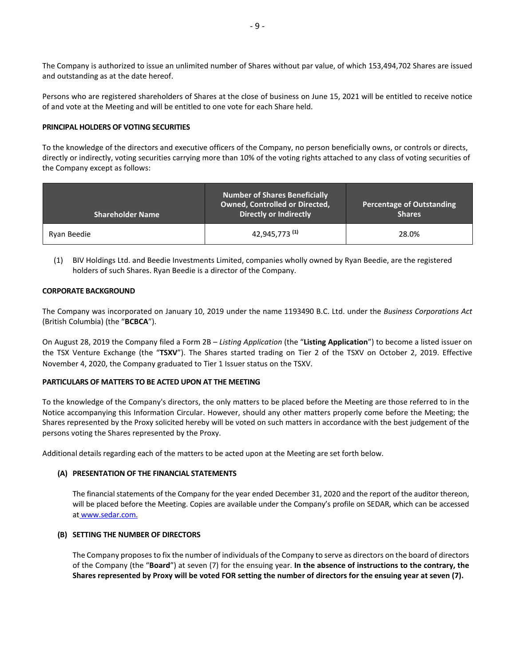The Company is authorized to issue an unlimited number of Shares without par value, of which 153,494,702 Shares are issued and outstanding as at the date hereof.

Persons who are registered shareholders of Shares at the close of business on June 15, 2021 will be entitled to receive notice of and vote at the Meeting and will be entitled to one vote for each Share held.

### <span id="page-10-0"></span>**PRINCIPAL HOLDERS OF VOTING SECURITIES**

To the knowledge of the directors and executive officers of the Company, no person beneficially owns, or controls or directs, directly or indirectly, voting securities carrying more than 10% of the voting rights attached to any class of voting securities of the Company except as follows:

| <b>Shareholder Name</b> | <b>Number of Shares Beneficially</b><br><b>Owned, Controlled or Directed,</b><br><b>Directly or Indirectly</b> | <b>Percentage of Outstanding</b><br><b>Shares</b> |
|-------------------------|----------------------------------------------------------------------------------------------------------------|---------------------------------------------------|
| Ryan Beedie             | 42,945,773 <sup>(1)</sup>                                                                                      | 28.0%                                             |

(1) BIV Holdings Ltd. and Beedie Investments Limited, companies wholly owned by Ryan Beedie, are the registered holders of such Shares. Ryan Beedie is a director of the Company.

#### <span id="page-10-1"></span>**CORPORATE BACKGROUND**

The Company was incorporated on January 10, 2019 under the name 1193490 B.C. Ltd. under the *Business Corporations Act*  (British Columbia) (the "**BCBCA**").

On August 28, 2019 the Company filed a Form 2B – *Listing Application* (the "**Listing Application**") to become a listed issuer on the TSX Venture Exchange (the "**TSXV**"). The Shares started trading on Tier 2 of the TSXV on October 2, 2019. Effective November 4, 2020, the Company graduated to Tier 1 Issuer status on the TSXV.

#### <span id="page-10-2"></span>**PARTICULARS OF MATTERS TO BE ACTED UPON AT THE MEETING**

To the knowledge of the Company's directors, the only matters to be placed before the Meeting are those referred to in the Notice accompanying this Information Circular. However, should any other matters properly come before the Meeting; the Shares represented by the Proxy solicited hereby will be voted on such matters in accordance with the best judgement of the persons voting the Shares represented by the Proxy.

Additional details regarding each of the matters to be acted upon at the Meeting are set forth below.

#### **(A) PRESENTATION OF THE FINANCIAL STATEMENTS**

The financial statements of the Company for the year ended December 31, 2020 and the report of the auditor thereon, will be placed before the Meeting. Copies are available under the Company's profile on SEDAR, which can be accessed at [w](http://www.sedar.com/)ww.sedar.com.

#### **(B) SETTING THE NUMBER OF DIRECTORS**

The Company proposes to fix the number of individuals of the Company to serve as directors on the board of directors of the Company (the "**Board**") at seven (7) for the ensuing year. **In the absence of instructions to the contrary, the Shares represented by Proxy will be voted FOR setting the number of directors for the ensuing year at seven (7).**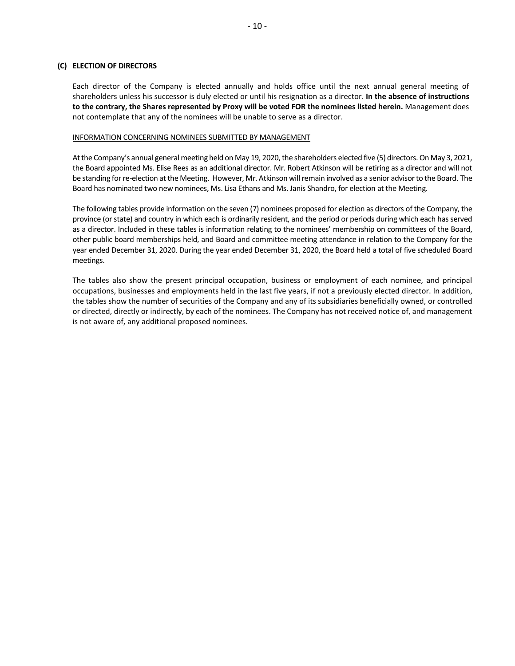### **(C) ELECTION OF DIRECTORS**

Each director of the Company is elected annually and holds office until the next annual general meeting of shareholders unless his successor is duly elected or until his resignation as a director. **In the absence of instructions to the contrary, the Shares represented by Proxy will be voted FOR the nominees listed herein.** Management does not contemplate that any of the nominees will be unable to serve as a director.

#### INFORMATION CONCERNING NOMINEES SUBMITTED BY MANAGEMENT

At the Company's annual general meeting held on May 19, 2020, the shareholders elected five (5) directors. On May 3, 2021, the Board appointed Ms. Elise Rees as an additional director. Mr. Robert Atkinson will be retiring as a director and will not be standing for re-election at the Meeting. However, Mr. Atkinson will remain involved as a senior advisor to the Board. The Board has nominated two new nominees, Ms. Lisa Ethans and Ms. Janis Shandro, for election at the Meeting.

The following tables provide information on the seven (7) nominees proposed for election as directors of the Company, the province (or state) and country in which each is ordinarily resident, and the period or periods during which each has served as a director. Included in these tables is information relating to the nominees' membership on committees of the Board, other public board memberships held, and Board and committee meeting attendance in relation to the Company for the year ended December 31, 2020. During the year ended December 31, 2020, the Board held a total of five scheduled Board meetings.

The tables also show the present principal occupation, business or employment of each nominee, and principal occupations, businesses and employments held in the last five years, if not a previously elected director. In addition, the tables show the number of securities of the Company and any of its subsidiaries beneficially owned, or controlled or directed, directly or indirectly, by each of the nominees. The Company has not received notice of, and management is not aware of, any additional proposed nominees.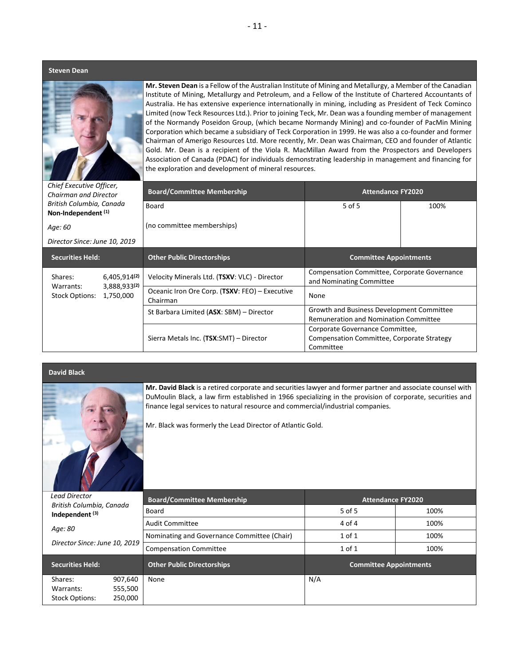#### **Steven Dean**



**Mr. Steven Dean** is a Fellow of the Australian Institute of Mining and Metallurgy, a Member of the Canadian Institute of Mining, Metallurgy and Petroleum, and a Fellow of the Institute of Chartered Accountants of Australia. He has extensive experience internationally in mining, including as President of Teck Cominco Limited (now Teck Resources Ltd.). Prior to joining Teck, Mr. Dean was a founding member of management of the Normandy Poseidon Group, (which became Normandy Mining) and co-founder of PacMin Mining Corporation which became a subsidiary of Teck Corporation in 1999. He was also a co-founder and former Chairman of Amerigo Resources Ltd. More recently, Mr. Dean was Chairman, CEO and founder of Atlantic Gold. Mr. Dean is a recipient of the Viola R. MacMillan Award from the Prospectors and Developers Association of Canada (PDAC) for individuals demonstrating leadership in management and financing for the exploration and development of mineral resources.

| Chief Executive Officer,<br><b>Chairman and Director</b>        | <b>Board/Committee Membership</b>                          | <b>Attendance FY2020</b>                                                                   |      |  |
|-----------------------------------------------------------------|------------------------------------------------------------|--------------------------------------------------------------------------------------------|------|--|
| British Columbia, Canada<br>Non-Independent <sup>(1)</sup>      | Board                                                      | 5 of 5                                                                                     | 100% |  |
| Age: 60                                                         | (no committee memberships)                                 |                                                                                            |      |  |
| Director Since: June 10, 2019                                   |                                                            |                                                                                            |      |  |
| <b>Securities Held:</b>                                         | <b>Other Public Directorships</b>                          | <b>Committee Appointments</b>                                                              |      |  |
| 6,405,914 <sup>(2)</sup><br>Shares:                             | Velocity Minerals Ltd. (TSXV: VLC) - Director              | Compensation Committee, Corporate Governance<br>and Nominating Committee                   |      |  |
| 3,888,933(2)<br>Warrants:<br>1,750,000<br><b>Stock Options:</b> | Oceanic Iron Ore Corp. (TSXV: FEO) - Executive<br>Chairman | None                                                                                       |      |  |
|                                                                 | St Barbara Limited (ASX: SBM) - Director                   | Growth and Business Development Committee<br><b>Remuneration and Nomination Committee</b>  |      |  |
|                                                                 | Sierra Metals Inc. (TSX:SMT) - Director                    | Corporate Governance Committee,<br>Compensation Committee, Corporate Strategy<br>Committee |      |  |

**David Black**

| Mr. David Black is a retired corporate and securities lawyer and former partner and associate counsel with<br>DuMoulin Black, a law firm established in 1966 specializing in the provision of corporate, securities and<br>finance legal services to natural resource and commercial/industrial companies.<br>Mr. Black was formerly the Lead Director of Atlantic Gold. |                                             |                               |      |  |
|--------------------------------------------------------------------------------------------------------------------------------------------------------------------------------------------------------------------------------------------------------------------------------------------------------------------------------------------------------------------------|---------------------------------------------|-------------------------------|------|--|
| <b>Lead Director</b>                                                                                                                                                                                                                                                                                                                                                     | <b>Board/Committee Membership</b>           | <b>Attendance FY2020</b>      |      |  |
| British Columbia, Canada                                                                                                                                                                                                                                                                                                                                                 |                                             |                               |      |  |
|                                                                                                                                                                                                                                                                                                                                                                          | Board                                       | 5 of 5                        | 100% |  |
| Independent <sup>(3)</sup>                                                                                                                                                                                                                                                                                                                                               | <b>Audit Committee</b>                      | 4 of 4                        | 100% |  |
| Age: 80                                                                                                                                                                                                                                                                                                                                                                  | Nominating and Governance Committee (Chair) | $1$ of $1$                    | 100% |  |
| Director Since: June 10, 2019                                                                                                                                                                                                                                                                                                                                            | <b>Compensation Committee</b>               | $1$ of $1$                    | 100% |  |
| <b>Securities Held:</b>                                                                                                                                                                                                                                                                                                                                                  | <b>Other Public Directorships</b>           | <b>Committee Appointments</b> |      |  |
| 907,640<br>Shares:                                                                                                                                                                                                                                                                                                                                                       | None                                        | N/A                           |      |  |
| 555,500<br>Warrants:<br>250,000<br><b>Stock Options:</b>                                                                                                                                                                                                                                                                                                                 |                                             |                               |      |  |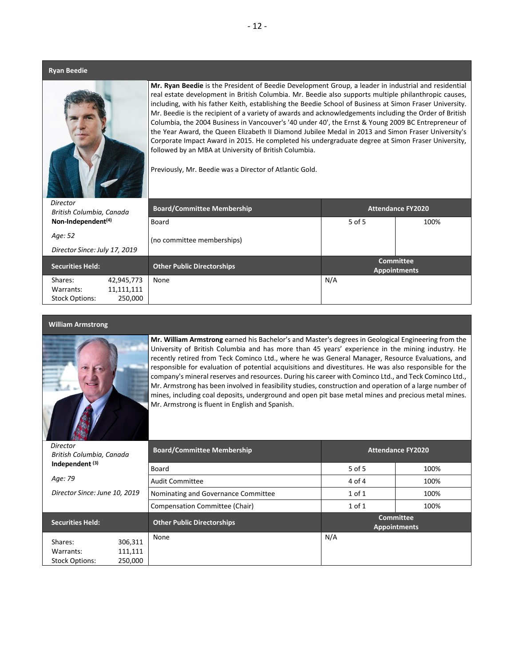#### **Ryan Beedie**



**Mr. Ryan Beedie** is the President of Beedie Development Group, a leader in industrial and residential real estate development in British Columbia. Mr. Beedie also supports multiple philanthropic causes, including, with his father Keith, establishing the Beedie School of Business at Simon Fraser University. Mr. Beedie is the recipient of a variety of awards and acknowledgements including the Order of British Columbia, the 2004 Business in Vancouver's '40 under 40', the Ernst & Young 2009 BC Entrepreneur of the Year Award, the Queen Elizabeth II Diamond Jubilee Medal in 2013 and Simon Fraser University's Corporate Impact Award in 2015. He completed his undergraduate degree at Simon Fraser University, followed by an MBA at University of British Columbia.

Previously, Mr. Beedie was a Director of Atlantic Gold.

| Director<br>British Columbia, Canada<br>Non-Independent <sup>(4)</sup> |            | <b>Board/Committee Membership</b> | <b>Attendance FY2020</b> |                                         |
|------------------------------------------------------------------------|------------|-----------------------------------|--------------------------|-----------------------------------------|
|                                                                        |            | Board                             | 5 of 5                   | 100%                                    |
| Age: 52                                                                |            | (no committee memberships)        |                          |                                         |
| Director Since: July 17, 2019                                          |            |                                   |                          |                                         |
| <b>Securities Held:</b>                                                |            | <b>Other Public Directorships</b> |                          | <b>Committee</b><br><b>Appointments</b> |
| Shares:                                                                | 42,945,773 | None                              | N/A                      |                                         |
| Warrants:                                                              | 11,111,111 |                                   |                          |                                         |
| <b>Stock Options:</b>                                                  | 250,000    |                                   |                          |                                         |

#### **William Armstrong**



**Mr. William Armstrong** earned his Bachelor's and Master's degrees in Geological Engineering from the University of British Columbia and has more than 45 years' experience in the mining industry. He recently retired from Teck Cominco Ltd., where he was General Manager, Resource Evaluations, and responsible for evaluation of potential acquisitions and divestitures. He was also responsible for the company's mineral reserves and resources. During his career with Cominco Ltd., and Teck Cominco Ltd., Mr. Armstrong has been involved in feasibility studies, construction and operation of a large number of mines, including coal deposits, underground and open pit base metal mines and precious metal mines. Mr. Armstrong is fluent in English and Spanish.

| 「シルカタミ<br>Director<br>British Columbia, Canada |         | <b>Board/Committee Membership</b>   | <b>Attendance FY2020</b> |                                         |  |
|------------------------------------------------|---------|-------------------------------------|--------------------------|-----------------------------------------|--|
| Independent <sup>(3)</sup>                     |         | Board                               | $5$ of $5$               | 100%                                    |  |
| Age: 79                                        |         | <b>Audit Committee</b>              | 4 of 4                   | 100%                                    |  |
| Director Since: June 10, 2019                  |         | Nominating and Governance Committee | $1$ of $1$               | 100%                                    |  |
|                                                |         | Compensation Committee (Chair)      | $1$ of $1$               | 100%                                    |  |
| Securities Held:                               |         | <b>Other Public Directorships</b>   |                          | <b>Committee</b><br><b>Appointments</b> |  |
| Shares:                                        | 306,311 | None                                | N/A                      |                                         |  |
| Warrants:                                      | 111,111 |                                     |                          |                                         |  |
| <b>Stock Options:</b>                          | 250.000 |                                     |                          |                                         |  |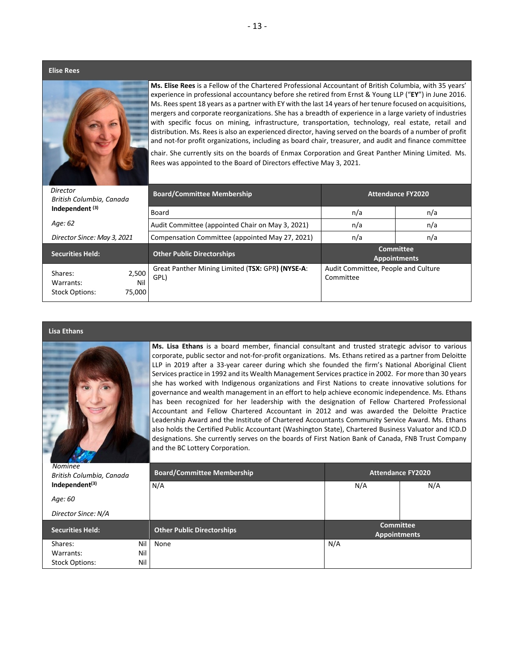**Elise Rees**



**Ms. Elise Rees** is a Fellow of the Chartered Professional Accountant of British Columbia, with 35 years' experience in professional accountancy before she retired from Ernst & Young LLP ("**EY**") in June 2016. Ms. Reesspent 18 years as a partner with EY with the last 14 years of her tenure focused on acquisitions, mergers and corporate reorganizations. She has a breadth of experience in a large variety of industries with specific focus on mining, infrastructure, transportation, technology, real estate, retail and distribution. Ms. Rees is also an experienced director, having served on the boards of a number of profit and not-for profit organizations, including as board chair, treasurer, and audit and finance committee

chair. She currently sits on the boards of Enmax Corporation and Great Panther Mining Limited. Ms. Rees was appointed to the Board of Directors effective May 3, 2021.

| Director<br>British Columbia, Canada<br>Independent <sup>(3)</sup> |                        | <b>Board/Committee Membership</b>                        | <b>Attendance FY2020</b>                         |                                         |  |
|--------------------------------------------------------------------|------------------------|----------------------------------------------------------|--------------------------------------------------|-----------------------------------------|--|
|                                                                    |                        | Board                                                    | n/a                                              | n/a                                     |  |
| Age: 62                                                            |                        | Audit Committee (appointed Chair on May 3, 2021)         | n/a                                              | n/a                                     |  |
| Director Since: May 3, 2021                                        |                        | Compensation Committee (appointed May 27, 2021)          | n/a                                              | n/a                                     |  |
| <b>Securities Held:</b>                                            |                        | <b>Other Public Directorships</b>                        |                                                  | <b>Committee</b><br><b>Appointments</b> |  |
| Shares:<br>Warrants:<br><b>Stock Options:</b>                      | 2,500<br>Nil<br>75,000 | Great Panther Mining Limited (TSX: GPR) (NYSE-A:<br>GPL) | Audit Committee, People and Culture<br>Committee |                                         |  |

#### **Lisa Ethans**



**Ms. Lisa Ethans** is a board member, financial consultant and trusted strategic advisor to various corporate, public sector and not-for-profit organizations. Ms. Ethans retired as a partner from Deloitte LLP in 2019 after a 33-year career during which she founded the firm's National Aboriginal Client Services practice in 1992 and its Wealth Management Services practice in 2002. For more than 30 years she has worked with Indigenous organizations and First Nations to create innovative solutions for governance and wealth management in an effort to help achieve economic independence. Ms. Ethans has been recognized for her leadership with the designation of Fellow Chartered Professional Accountant and Fellow Chartered Accountant in 2012 and was awarded the Deloitte Practice Leadership Award and the Institute of Chartered Accountants Community Service Award. Ms. Ethans also holds the Certified Public Accountant (Washington State), Chartered Business Valuator and ICD.D designations. She currently serves on the boards of First Nation Bank of Canada, FNB Trust Company and the BC Lottery Corporation.

| <b>Nominee</b><br>British Columbia, Canada | <b>Board/Committee Membership</b> | <b>Attendance FY2020</b>                |     |  |
|--------------------------------------------|-----------------------------------|-----------------------------------------|-----|--|
| Independent <sup>(3)</sup>                 | N/A                               | N/A                                     | N/A |  |
| Age: 60                                    |                                   |                                         |     |  |
| Director Since: N/A                        |                                   |                                         |     |  |
| <b>Securities Held:</b>                    | <b>Other Public Directorships</b> | <b>Committee</b><br><b>Appointments</b> |     |  |
| Nil<br>Shares:                             | None                              | N/A                                     |     |  |
| Nil<br>Warrants:                           |                                   |                                         |     |  |
| Nil<br><b>Stock Options:</b>               |                                   |                                         |     |  |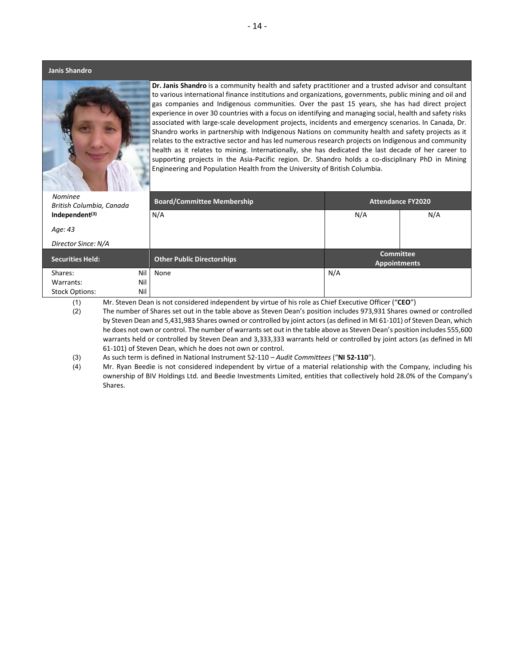#### **Janis Shandro**



**Dr. Janis Shandro** is a community health and safety practitioner and a trusted advisor and consultant to various international finance institutions and organizations, governments, public mining and oil and gas companies and Indigenous communities. Over the past 15 years, she has had direct project experience in over 30 countries with a focus on identifying and managing social, health and safety risks associated with large-scale development projects, incidents and emergency scenarios. In Canada, Dr. Shandro works in partnership with Indigenous Nations on community health and safety projects as it relates to the extractive sector and has led numerous research projects on Indigenous and community health as it relates to mining. Internationally, she has dedicated the last decade of her career to supporting projects in the Asia-Pacific region. Dr. Shandro holds a co-disciplinary PhD in Mining Engineering and Population Health from the University of British Columbia.

*Nominee British Columbia, Canada* **Independent(3)** *Age: 43 Director Since: N/A* **Board/Committee Membership Attendance FY2020** N/A N/A N/A N/A N/A **Securities Held: Other Public Directorships Committee Appointments** Shares: Nil Warrants: Nil Stock Options: Nil None None Note and New York and New York and New York and New York and New York and New York and New York and

(1) Mr. Steven Dean is not considered independent by virtue of his role as Chief Executive Officer ("**CEO**")

(2) The number of Shares set out in the table above as Steven Dean's position includes 973,931 Shares owned or controlled by Steven Dean and 5,431,983 Shares owned or controlled by joint actors (as defined in MI 61-101) of Steven Dean, which he does not own or control. The number of warrants set out in the table above as Steven Dean's position includes 555,600 warrants held or controlled by Steven Dean and 3,333,333 warrants held or controlled by joint actors (as defined in MI 61-101) of Steven Dean, which he does not own or control.

(3) As such term is defined in National Instrument 52-110 – *Audit Committees* ("**NI 52-110**").

(4) Mr. Ryan Beedie is not considered independent by virtue of a material relationship with the Company, including his ownership of BIV Holdings Ltd. and Beedie Investments Limited, entities that collectively hold 28.0% of the Company's Shares.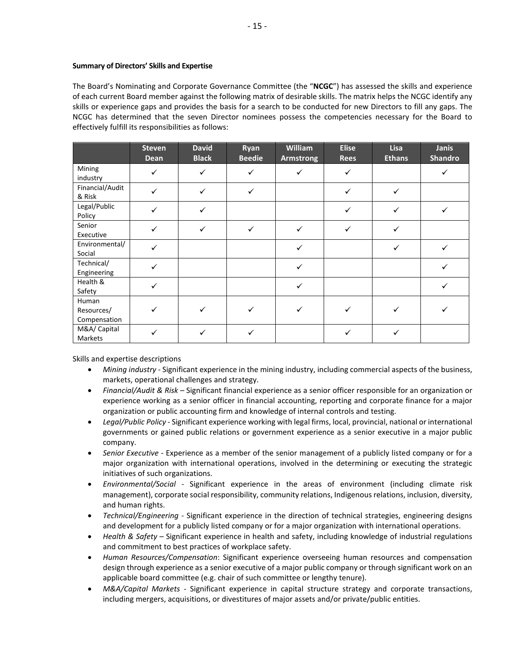### **Summary of Directors' Skills and Expertise**

The Board's Nominating and Corporate Governance Committee (the "**NCGC**") has assessed the skills and experience of each current Board member against the following matrix of desirable skills. The matrix helps the NCGC identify any skills or experience gaps and provides the basis for a search to be conducted for new Directors to fill any gaps. The NCGC has determined that the seven Director nominees possess the competencies necessary for the Board to effectively fulfill its responsibilities as follows:

|                                     | <b>Steven</b><br><b>Dean</b> | <b>David</b><br><b>Black</b> | Ryan<br><b>Beedie</b> | William<br><b>Armstrong</b> | <b>Elise</b><br><b>Rees</b> | Lisa<br><b>Ethans</b> | Janis<br><b>Shandro</b> |
|-------------------------------------|------------------------------|------------------------------|-----------------------|-----------------------------|-----------------------------|-----------------------|-------------------------|
| Mining<br>industry                  | $\checkmark$                 | $\checkmark$                 |                       | ✓                           | ✓                           |                       | ✓                       |
| Financial/Audit<br>& Risk           | ✓                            | ✓                            | ✓                     |                             | ✓                           | ✓                     |                         |
| Legal/Public<br>Policy              |                              | $\checkmark$                 |                       |                             | ✓                           | ✓                     | ✓                       |
| Senior<br>Executive                 | $\checkmark$                 | ✓                            | ✓                     | $\checkmark$                | ✓                           | ✓                     |                         |
| Environmental/<br>Social            |                              |                              |                       | $\checkmark$                |                             | ✓                     | ✓                       |
| Technical/<br>Engineering           | $\checkmark$                 |                              |                       | $\checkmark$                |                             |                       |                         |
| Health &<br>Safety                  |                              |                              |                       | $\checkmark$                |                             |                       | ✓                       |
| Human<br>Resources/<br>Compensation |                              |                              |                       | ✓                           |                             |                       |                         |
| M&A/ Capital<br>Markets             |                              | ✓                            |                       |                             |                             |                       |                         |

Skills and expertise descriptions

- *Mining industry* Significant experience in the mining industry, including commercial aspects of the business, markets, operational challenges and strategy.
- *Financial/Audit & Risk* Significant financial experience as a senior officer responsible for an organization or experience working as a senior officer in financial accounting, reporting and corporate finance for a major organization or public accounting firm and knowledge of internal controls and testing.
- *Legal/Public Policy* Significant experience working with legal firms, local, provincial, national or international governments or gained public relations or government experience as a senior executive in a major public company.
- *Senior Executive* Experience as a member of the senior management of a publicly listed company or for a major organization with international operations, involved in the determining or executing the strategic initiatives of such organizations.
- *Environmental/Social* Significant experience in the areas of environment (including climate risk management), corporate social responsibility, community relations, Indigenous relations, inclusion, diversity, and human rights.
- *Technical/Engineering* Significant experience in the direction of technical strategies, engineering designs and development for a publicly listed company or for a major organization with international operations.
- *Health & Safety* Significant experience in health and safety, including knowledge of industrial regulations and commitment to best practices of workplace safety.
- *Human Resources/Compensation*: Significant experience overseeing human resources and compensation design through experience as a senior executive of a major public company or through significant work on an applicable board committee (e.g. chair of such committee or lengthy tenure).
- *M&A/Capital Markets* Significant experience in capital structure strategy and corporate transactions, including mergers, acquisitions, or divestitures of major assets and/or private/public entities.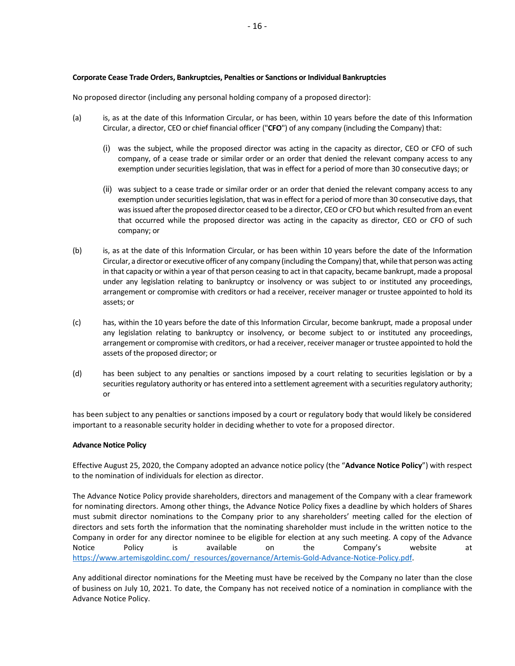### **Corporate Cease Trade Orders, Bankruptcies, Penalties or Sanctions or Individual Bankruptcies**

No proposed director (including any personal holding company of a proposed director):

- (a) is, as at the date of this Information Circular, or has been, within 10 years before the date of this Information Circular, a director, CEO or chief financial officer ("**CFO**") of any company (including the Company) that:
	- (i) was the subject, while the proposed director was acting in the capacity as director, CEO or CFO of such company, of a cease trade or similar order or an order that denied the relevant company access to any exemption under securities legislation, that was in effect for a period of more than 30 consecutive days; or
	- (ii) was subject to a cease trade or similar order or an order that denied the relevant company access to any exemption under securities legislation, that was in effect for a period of more than 30 consecutive days, that was issued after the proposed director ceased to be a director, CEO or CFO but which resulted from an event that occurred while the proposed director was acting in the capacity as director, CEO or CFO of such company; or
- (b) is, as at the date of this Information Circular, or has been within 10 years before the date of the Information Circular, a director or executive officer of any company (including the Company) that, while that person was acting in that capacity or within a year of that person ceasing to act in that capacity, became bankrupt, made a proposal under any legislation relating to bankruptcy or insolvency or was subject to or instituted any proceedings, arrangement or compromise with creditors or had a receiver, receiver manager or trustee appointed to hold its assets; or
- (c) has, within the 10 years before the date of this Information Circular, become bankrupt, made a proposal under any legislation relating to bankruptcy or insolvency, or become subject to or instituted any proceedings, arrangement or compromise with creditors, or had a receiver, receiver manager or trustee appointed to hold the assets of the proposed director; or
- (d) has been subject to any penalties or sanctions imposed by a court relating to securities legislation or by a securities regulatory authority or has entered into a settlement agreement with a securities regulatory authority; or

has been subject to any penalties or sanctions imposed by a court or regulatory body that would likely be considered important to a reasonable security holder in deciding whether to vote for a proposed director.

#### **Advance Notice Policy**

Effective August 25, 2020, the Company adopted an advance notice policy (the "**Advance Notice Policy**") with respect to the nomination of individuals for election as director.

The Advance Notice Policy provide shareholders, directors and management of the Company with a clear framework for nominating directors. Among other things, the Advance Notice Policy fixes a deadline by which holders of Shares must submit director nominations to the Company prior to any shareholders' meeting called for the election of directors and sets forth the information that the nominating shareholder must include in the written notice to the Company in order for any director nominee to be eligible for election at any such meeting. A copy of the Advance Notice Policy is available on the Company's website at [https://www.artemisgoldinc.com/\\_resources/governance/Artemis-Gold-Advance-Notice-Policy.pdf.](https://www.artemisgoldinc.com/_resources/governance/Artemis-Gold-Advance-Notice-Policy.pdf)

Any additional director nominations for the Meeting must have be received by the Company no later than the close of business on July 10, 2021. To date, the Company has not received notice of a nomination in compliance with the Advance Notice Policy.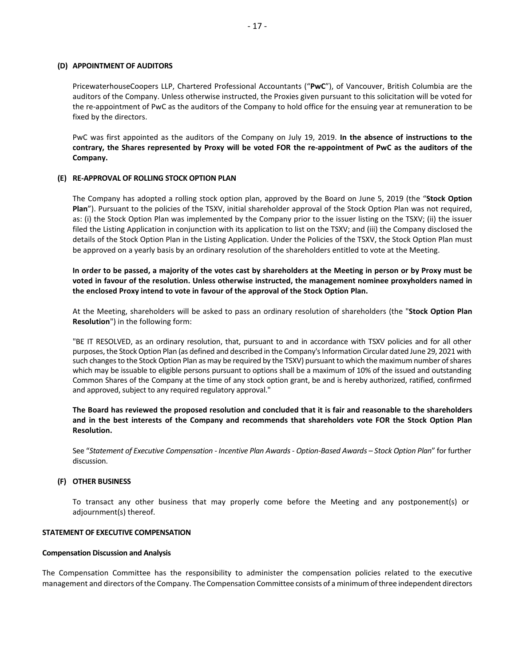### **(D) APPOINTMENT OF AUDITORS**

PricewaterhouseCoopers LLP, Chartered Professional Accountants ("**PwC**"), of Vancouver, British Columbia are the auditors of the Company. Unless otherwise instructed, the Proxies given pursuant to this solicitation will be voted for the re-appointment of PwC as the auditors of the Company to hold office for the ensuing year at remuneration to be fixed by the directors.

PwC was first appointed as the auditors of the Company on July 19, 2019. **In the absence of instructions to the contrary, the Shares represented by Proxy will be voted FOR the re-appointment of PwC as the auditors of the Company.**

## **(E) RE-APPROVAL OF ROLLING STOCK OPTION PLAN**

The Company has adopted a rolling stock option plan, approved by the Board on June 5, 2019 (the "**Stock Option Plan**"). Pursuant to the policies of the TSXV, initial shareholder approval of the Stock Option Plan was not required, as: (i) the Stock Option Plan was implemented by the Company prior to the issuer listing on the TSXV; (ii) the issuer filed the Listing Application in conjunction with its application to list on the TSXV; and (iii) the Company disclosed the details of the Stock Option Plan in the Listing Application. Under the Policies of the TSXV, the Stock Option Plan must be approved on a yearly basis by an ordinary resolution of the shareholders entitled to vote at the Meeting.

**In order to be passed, a majority of the votes cast by shareholders at the Meeting in person or by Proxy must be voted in favour of the resolution. Unless otherwise instructed, the management nominee proxyholders named in the enclosed Proxy intend to vote in favour of the approval of the Stock Option Plan.**

At the Meeting, shareholders will be asked to pass an ordinary resolution of shareholders (the "**Stock Option Plan Resolution**") in the following form:

"BE IT RESOLVED, as an ordinary resolution, that, pursuant to and in accordance with TSXV policies and for all other purposes, the Stock Option Plan (as defined and described in the Company's Information Circular dated June 29, 2021 with such changes to the Stock Option Plan as may be required by the TSXV) pursuant to which the maximum number of shares which may be issuable to eligible persons pursuant to options shall be a maximum of 10% of the issued and outstanding Common Shares of the Company at the time of any stock option grant, be and is hereby authorized, ratified, confirmed and approved, subject to any required regulatory approval."

**The Board has reviewed the proposed resolution and concluded that it is fair and reasonable to the shareholders and in the best interests of the Company and recommends that shareholders vote FOR the Stock Option Plan Resolution.**

See "*Statement of Executive Compensation - Incentive Plan Awards - Option-Based Awards – Stock Option Plan*" for further discussion.

#### **(F) OTHER BUSINESS**

To transact any other business that may properly come before the Meeting and any postponement(s) or adjournment(s) thereof.

#### <span id="page-18-0"></span>**STATEMENT OF EXECUTIVE COMPENSATION**

#### **Compensation Discussion and Analysis**

The Compensation Committee has the responsibility to administer the compensation policies related to the executive management and directors of the Company. The Compensation Committee consists of a minimum of three independent directors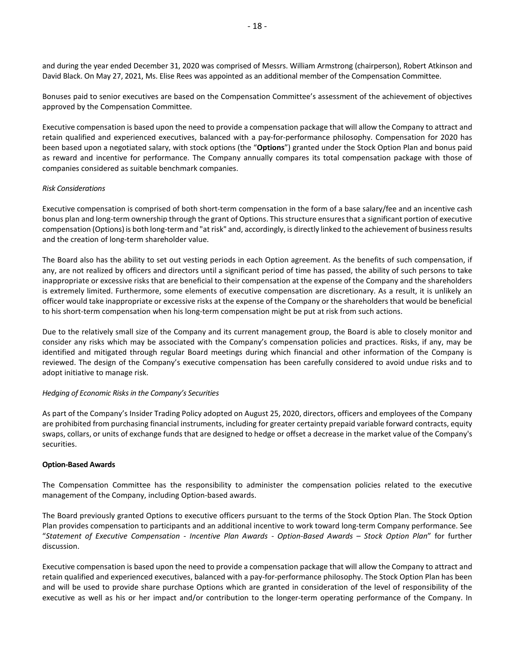and during the year ended December 31, 2020 was comprised of Messrs. William Armstrong (chairperson), Robert Atkinson and David Black. On May 27, 2021, Ms. Elise Rees was appointed as an additional member of the Compensation Committee.

Bonuses paid to senior executives are based on the Compensation Committee's assessment of the achievement of objectives approved by the Compensation Committee.

Executive compensation is based upon the need to provide a compensation package that will allow the Company to attract and retain qualified and experienced executives, balanced with a pay-for-performance philosophy. Compensation for 2020 has been based upon a negotiated salary, with stock options (the "**Options**") granted under the Stock Option Plan and bonus paid as reward and incentive for performance. The Company annually compares its total compensation package with those of companies considered as suitable benchmark companies.

#### *Risk Considerations*

Executive compensation is comprised of both short-term compensation in the form of a base salary/fee and an incentive cash bonus plan and long-term ownership through the grant of Options. This structure ensures that a significant portion of executive compensation (Options) is both long-term and "at risk" and, accordingly, is directly linked to the achievement of business results and the creation of long-term shareholder value.

The Board also has the ability to set out vesting periods in each Option agreement. As the benefits of such compensation, if any, are not realized by officers and directors until a significant period of time has passed, the ability of such persons to take inappropriate or excessive risks that are beneficial to their compensation at the expense of the Company and the shareholders is extremely limited. Furthermore, some elements of executive compensation are discretionary. As a result, it is unlikely an officer would take inappropriate or excessive risks at the expense of the Company or the shareholders that would be beneficial to his short-term compensation when his long-term compensation might be put at risk from such actions.

Due to the relatively small size of the Company and its current management group, the Board is able to closely monitor and consider any risks which may be associated with the Company's compensation policies and practices. Risks, if any, may be identified and mitigated through regular Board meetings during which financial and other information of the Company is reviewed. The design of the Company's executive compensation has been carefully considered to avoid undue risks and to adopt initiative to manage risk.

#### *Hedging of Economic Risks in the Company's Securities*

As part of the Company's Insider Trading Policy adopted on August 25, 2020, directors, officers and employees of the Company are prohibited from purchasing financial instruments, including for greater certainty prepaid variable forward contracts, equity swaps, collars, or units of exchange funds that are designed to hedge or offset a decrease in the market value of the Company's securities.

#### **Option-Based Awards**

The Compensation Committee has the responsibility to administer the compensation policies related to the executive management of the Company, including Option-based awards.

The Board previously granted Options to executive officers pursuant to the terms of the Stock Option Plan. The Stock Option Plan provides compensation to participants and an additional incentive to work toward long-term Company performance. See "*Statement of Executive Compensation - Incentive Plan Awards - Option-Based Awards – Stock Option Plan*" for further discussion.

Executive compensation is based upon the need to provide a compensation package that will allow the Company to attract and retain qualified and experienced executives, balanced with a pay-for-performance philosophy. The Stock Option Plan has been and will be used to provide share purchase Options which are granted in consideration of the level of responsibility of the executive as well as his or her impact and/or contribution to the longer-term operating performance of the Company. In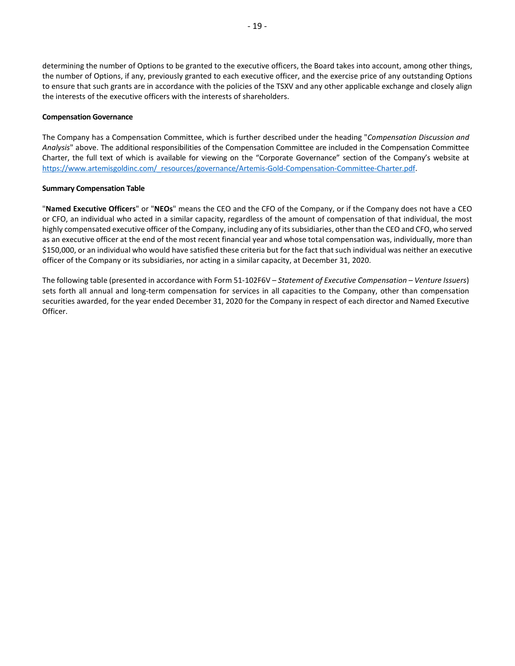determining the number of Options to be granted to the executive officers, the Board takes into account, among other things, the number of Options, if any, previously granted to each executive officer, and the exercise price of any outstanding Options to ensure that such grants are in accordance with the policies of the TSXV and any other applicable exchange and closely align the interests of the executive officers with the interests of shareholders.

### **Compensation Governance**

The Company has a Compensation Committee, which is further described under the heading "*Compensation Discussion and Analysis*" above. The additional responsibilities of the Compensation Committee are included in the Compensation Committee Charter, the full text of which is available for viewing on the "Corporate Governance" section of the Company's website at [https://www.artemisgoldinc.com/\\_resources/governance/Artemis-Gold-Compensation-Committee-Charter.pdf.](https://www.artemisgoldinc.com/_resources/governance/Artemis-Gold-Compensation-Committee-Charter.pdf)

#### **Summary Compensation Table**

"**Named Executive Officers**" or "**NEOs**" means the CEO and the CFO of the Company, or if the Company does not have a CEO or CFO, an individual who acted in a similar capacity, regardless of the amount of compensation of that individual, the most highly compensated executive officer of the Company, including any of itssubsidiaries, other than the CEO and CFO, who served as an executive officer at the end of the most recent financial year and whose total compensation was, individually, more than \$150,000, or an individual who would have satisfied these criteria but for the fact that such individual was neither an executive officer of the Company or its subsidiaries, nor acting in a similar capacity, at December 31, 2020.

The following table (presented in accordance with Form 51-102F6V – *Statement of Executive Compensation – Venture Issuers*) sets forth all annual and long-term compensation for services in all capacities to the Company, other than compensation securities awarded, for the year ended December 31, 2020 for the Company in respect of each director and Named Executive Officer.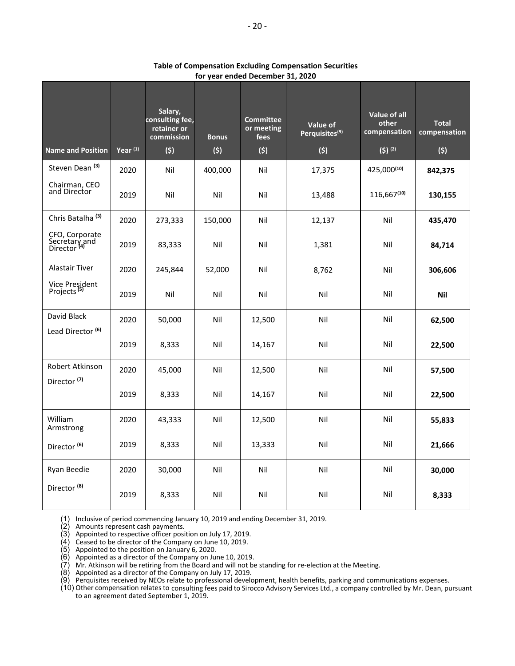| <b>Name and Position</b>                                   | $Year^{(1)}$ | Salary,<br>consulting fee,<br>retainer or<br>commission<br>(5) | <b>Bonus</b><br>(5) | <b>Committee</b><br>or meeting<br>fees<br>(5) | Value of<br>Perquisites <sup>(9)</sup><br>(5) | Value of all<br>other<br>compensation<br>$(5)$ (2) | <b>Total</b><br>compensation<br>(5) |
|------------------------------------------------------------|--------------|----------------------------------------------------------------|---------------------|-----------------------------------------------|-----------------------------------------------|----------------------------------------------------|-------------------------------------|
| Steven Dean <sup>(3)</sup>                                 | 2020         | Nil                                                            | 400,000             | Nil                                           | 17,375                                        | 425,000(10)                                        | 842,375                             |
| Chairman, CEO<br>and Director                              | 2019         | Nil                                                            | Nil                 | Nil                                           | 13,488                                        | $116,667^{(10)}$                                   | 130,155                             |
| Chris Batalha <sup>(3)</sup>                               | 2020         | 273,333                                                        | 150,000             | Nil                                           | 12,137                                        | Nil                                                | 435,470                             |
| CFO, Corporate<br>Secretary and<br>Director <sup>(4)</sup> | 2019         | 83,333                                                         | Nil                 | Nil                                           | 1,381                                         | Nil                                                | 84,714                              |
| <b>Alastair Tiver</b>                                      | 2020         | 245,844                                                        | 52,000              | Nil                                           | 8,762                                         | Nil                                                | 306,606                             |
| Vice President<br>Projects <sup>(5)</sup>                  | 2019         | Nil                                                            | Nil                 | Nil                                           | Nil                                           | Nil                                                | Nil                                 |
| David Black                                                | 2020         | 50,000                                                         | Nil                 | 12,500                                        | Nil                                           | Nil                                                | 62,500                              |
| Lead Director <sup>(6)</sup>                               | 2019         | 8,333                                                          | Nil                 | 14,167                                        | Nil                                           | Nil                                                | 22,500                              |
| Robert Atkinson                                            | 2020         | 45,000                                                         | Nil                 | 12,500                                        | Nil                                           | Nil                                                | 57,500                              |
| Director <sup>(7)</sup>                                    | 2019         | 8,333                                                          | Nil                 | 14,167                                        | Nil                                           | Nil                                                | 22,500                              |
| William<br>Armstrong                                       | 2020         | 43,333                                                         | Nil                 | 12,500                                        | Nil                                           | Nil                                                | 55,833                              |
| Director <sup>(6)</sup>                                    | 2019         | 8,333                                                          | Nil                 | 13,333                                        | Nil                                           | Nil                                                | 21,666                              |
| Ryan Beedie                                                | 2020         | 30,000                                                         | Nil                 | Nil                                           | Nil                                           | Nil                                                | 30,000                              |
| Director <sup>(8)</sup>                                    | 2019         | 8,333                                                          | Nil                 | Nil                                           | Nil                                           | Nil                                                | 8,333                               |

**Table of Compensation Excluding Compensation Securities for year ended December 31, 2020**

(1) Inclusive of period commencing January 10, 2019 and ending December 31, 2019.

(2) Amounts represent cash payments.

(3) Appointed to respective officer position on July 17, 2019.

(4) Ceased to be director of the Company on June 10, 2019.

(5) Appointed to the position on January 6, 2020.

(6) Appointed as a director of the Company on June 10, 2019.

(7) Mr. Atkinson will be retiring from the Board and will not be standing for re-election at the Meeting.

(8) Appointed as a director of the Company on July 17, 2019.

(9) Perquisites received by NEOs relate to professional development, health benefits, parking and communications expenses.

(10) Other compensation relates to consulting fees paid to Sirocco Advisory Services Ltd., a company controlled by Mr. Dean, pursuant to an agreement dated September 1, 2019.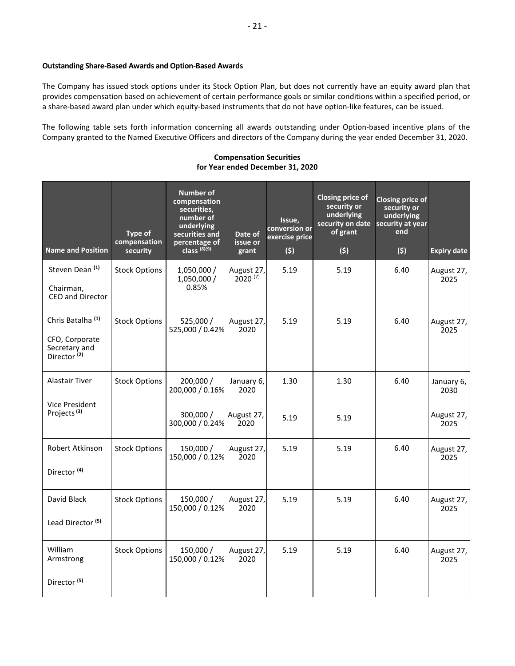## **Outstanding Share-Based Awards and Option-Based Awards**

The Company has issued stock options under its Stock Option Plan, but does not currently have an equity award plan that provides compensation based on achievement of certain performance goals or similar conditions within a specified period, or a share-based award plan under which equity-based instruments that do not have option-like features, can be issued.

The following table sets forth information concerning all awards outstanding under Option-based incentive plans of the Company granted to the Named Executive Officers and directors of the Company during the year ended December 31, 2020.

### **Compensation Securities for Year ended December 31, 2020**

| <b>Name and Position</b>                                                                   | Type of<br>compensation<br>security | Number of<br>compensation<br>securities,<br>number of<br>underlying<br>securities and<br>percentage of<br>class $^{(8)(9)}$ | Date of<br>issue or<br>grant | Issue,<br>conversion or<br>exercise price<br>(5) | Closing price of<br>security or<br>underlying<br>security on date<br>of grant<br>(5) | <b>Closing price of</b><br>security or<br>underlying<br>security at year<br>end<br>(5) | <b>Expiry date</b> |
|--------------------------------------------------------------------------------------------|-------------------------------------|-----------------------------------------------------------------------------------------------------------------------------|------------------------------|--------------------------------------------------|--------------------------------------------------------------------------------------|----------------------------------------------------------------------------------------|--------------------|
| Steven Dean <sup>(1)</sup><br>Chairman,<br>CEO and Director                                | <b>Stock Options</b>                | 1,050,000 /<br>1,050,000 /<br>0.85%                                                                                         | August 27,<br>$2020^{(7)}$   | 5.19                                             | 5.19                                                                                 | 6.40                                                                                   | August 27,<br>2025 |
| Chris Batalha <sup>(1)</sup><br>CFO, Corporate<br>Secretary and<br>Director <sup>(2)</sup> | <b>Stock Options</b>                | 525,000 /<br>525,000 / 0.42%                                                                                                | August 27,<br>2020           | 5.19                                             | 5.19                                                                                 | 6.40                                                                                   | August 27,<br>2025 |
| Alastair Tiver<br><b>Vice President</b>                                                    | <b>Stock Options</b>                | 200,000 /<br>200,000 / 0.16%                                                                                                | January 6,<br>2020           | 1.30                                             | 1.30                                                                                 | 6.40                                                                                   | January 6,<br>2030 |
| Projects <sup>(3)</sup>                                                                    |                                     | 300,000 /<br>300,000 / 0.24%                                                                                                | August 27,<br>2020           | 5.19                                             | 5.19                                                                                 |                                                                                        | August 27,<br>2025 |
| Robert Atkinson<br>Director <sup>(4)</sup>                                                 | <b>Stock Options</b>                | 150,000 /<br>150,000 / 0.12%                                                                                                | August 27,<br>2020           | 5.19                                             | 5.19                                                                                 | 6.40                                                                                   | August 27,<br>2025 |
| David Black<br>Lead Director <sup>(5)</sup>                                                | <b>Stock Options</b>                | 150,000 /<br>150,000 / 0.12%                                                                                                | August 27,<br>2020           | 5.19                                             | 5.19                                                                                 | 6.40                                                                                   | August 27,<br>2025 |
| William<br>Armstrong<br>Director <sup>(5)</sup>                                            | <b>Stock Options</b>                | 150,000 /<br>150,000 / 0.12%                                                                                                | August 27,<br>2020           | 5.19                                             | 5.19                                                                                 | 6.40                                                                                   | August 27,<br>2025 |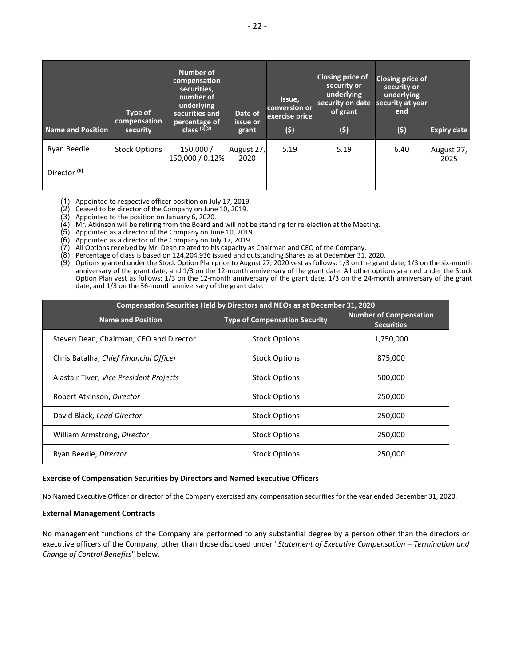| Name and Position       | Type of<br>compensation<br>security | Number of<br>compensation<br>securities,<br>number of<br>underlying<br>securities and<br>percentage of<br>class $^{(8)(9)}$ | Date of<br>issue or<br>grant | Issue,<br>conversion or<br>exercise price<br>(5) | Closing price of<br>security or<br>underlying<br>security on date<br>of grant<br>(5) | Closing price of<br>security or<br>underlying<br>security at year<br>end<br>(5) | <b>Expiry date</b> |
|-------------------------|-------------------------------------|-----------------------------------------------------------------------------------------------------------------------------|------------------------------|--------------------------------------------------|--------------------------------------------------------------------------------------|---------------------------------------------------------------------------------|--------------------|
| Ryan Beedie             | <b>Stock Options</b>                | 150,000 /<br>150,000 / 0.12%                                                                                                | August 27,<br>2020           | 5.19                                             | 5.19                                                                                 | 6.40                                                                            | August 27,<br>2025 |
| Director <sup>(6)</sup> |                                     |                                                                                                                             |                              |                                                  |                                                                                      |                                                                                 |                    |

(1) Appointed to respective officer position on July 17, 2019.

(2) Ceased to be director of the Company on June 10, 2019.

(3) Appointed to the position on January 6, 2020.

(4) Mr. Atkinson will be retiring from the Board and will not be standing for re-election at the Meeting.

(5) Appointed as a director of the Company on June 10, 2019.

(6) Appointed as a director of the Company on July 17, 2019.

(7) All Options received by Mr. Dean related to his capacity as Chairman and CEO of the Company.

(8) Percentage of class is based on 124,204,936 issued and outstanding Shares as at December 31, 2020.

(9) Options granted under the Stock Option Plan prior to August 27, 2020 vest as follows: 1/3 on the grant date, 1/3 on the six-month anniversary of the grant date, and 1/3 on the 12-month anniversary of the grant date. All other options granted under the Stock Option Plan vest as follows: 1/3 on the 12-month anniversary of the grant date, 1/3 on the 24-month anniversary of the grant date, and 1/3 on the 36-month anniversary of the grant date.

| <b>Compensation Securities Held by Directors and NEOs as at December 31, 2020</b> |                                      |                                                    |  |
|-----------------------------------------------------------------------------------|--------------------------------------|----------------------------------------------------|--|
| <b>Name and Position</b>                                                          | <b>Type of Compensation Security</b> | <b>Number of Compensation</b><br><b>Securities</b> |  |
| Steven Dean, Chairman, CEO and Director                                           | <b>Stock Options</b>                 | 1,750,000                                          |  |
| Chris Batalha, Chief Financial Officer                                            | <b>Stock Options</b>                 | 875,000                                            |  |
| Alastair Tiver, Vice President Projects                                           | <b>Stock Options</b>                 | 500,000                                            |  |
| Robert Atkinson, Director                                                         | <b>Stock Options</b>                 | 250,000                                            |  |
| David Black, Lead Director                                                        | <b>Stock Options</b>                 | 250,000                                            |  |
| William Armstrong, Director                                                       | <b>Stock Options</b>                 | 250,000                                            |  |
| Ryan Beedie, Director                                                             | <b>Stock Options</b>                 | 250,000                                            |  |

#### **Exercise of Compensation Securities by Directors and Named Executive Officers**

No Named Executive Officer or director of the Company exercised any compensation securities for the year ended December 31, 2020.

#### **External Management Contracts**

No management functions of the Company are performed to any substantial degree by a person other than the directors or executive officers of the Company, other than those disclosed under "*Statement of Executive Compensation – Termination and Change of Control Benefits*" below.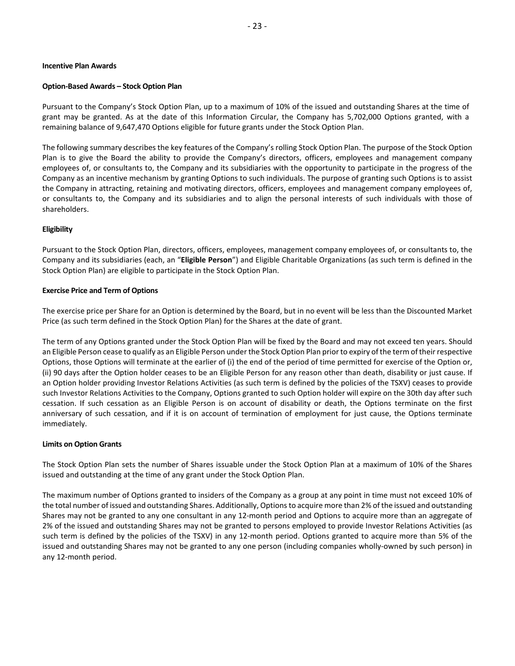#### **Incentive Plan Awards**

#### **Option-Based Awards – Stock Option Plan**

Pursuant to the Company's Stock Option Plan, up to a maximum of 10% of the issued and outstanding Shares at the time of grant may be granted. As at the date of this Information Circular, the Company has 5,702,000 Options granted, with a remaining balance of 9,647,470 Options eligible for future grants under the Stock Option Plan.

The following summary describes the key features of the Company's rolling Stock Option Plan. The purpose of the Stock Option Plan is to give the Board the ability to provide the Company's directors, officers, employees and management company employees of, or consultants to, the Company and its subsidiaries with the opportunity to participate in the progress of the Company as an incentive mechanism by granting Options to such individuals. The purpose of granting such Options is to assist the Company in attracting, retaining and motivating directors, officers, employees and management company employees of, or consultants to, the Company and its subsidiaries and to align the personal interests of such individuals with those of shareholders.

#### **Eligibility**

Pursuant to the Stock Option Plan, directors, officers, employees, management company employees of, or consultants to, the Company and its subsidiaries (each, an "**Eligible Person**") and Eligible Charitable Organizations (as such term is defined in the Stock Option Plan) are eligible to participate in the Stock Option Plan.

#### **Exercise Price and Term of Options**

The exercise price per Share for an Option is determined by the Board, but in no event will be less than the Discounted Market Price (as such term defined in the Stock Option Plan) for the Shares at the date of grant.

The term of any Options granted under the Stock Option Plan will be fixed by the Board and may not exceed ten years. Should an Eligible Person cease to qualify as an Eligible Person under the Stock Option Plan prior to expiry of the term of their respective Options, those Options will terminate at the earlier of (i) the end of the period of time permitted for exercise of the Option or, (ii) 90 days after the Option holder ceases to be an Eligible Person for any reason other than death, disability or just cause. If an Option holder providing Investor Relations Activities (as such term is defined by the policies of the TSXV) ceases to provide such Investor Relations Activities to the Company, Options granted to such Option holder will expire on the 30th day after such cessation. If such cessation as an Eligible Person is on account of disability or death, the Options terminate on the first anniversary of such cessation, and if it is on account of termination of employment for just cause, the Options terminate immediately.

#### **Limits on Option Grants**

The Stock Option Plan sets the number of Shares issuable under the Stock Option Plan at a maximum of 10% of the Shares issued and outstanding at the time of any grant under the Stock Option Plan.

The maximum number of Options granted to insiders of the Company as a group at any point in time must not exceed 10% of the total number of issued and outstanding Shares. Additionally, Options to acquire more than 2% of the issued and outstanding Shares may not be granted to any one consultant in any 12-month period and Options to acquire more than an aggregate of 2% of the issued and outstanding Shares may not be granted to persons employed to provide Investor Relations Activities (as such term is defined by the policies of the TSXV) in any 12-month period. Options granted to acquire more than 5% of the issued and outstanding Shares may not be granted to any one person (including companies wholly-owned by such person) in any 12-month period.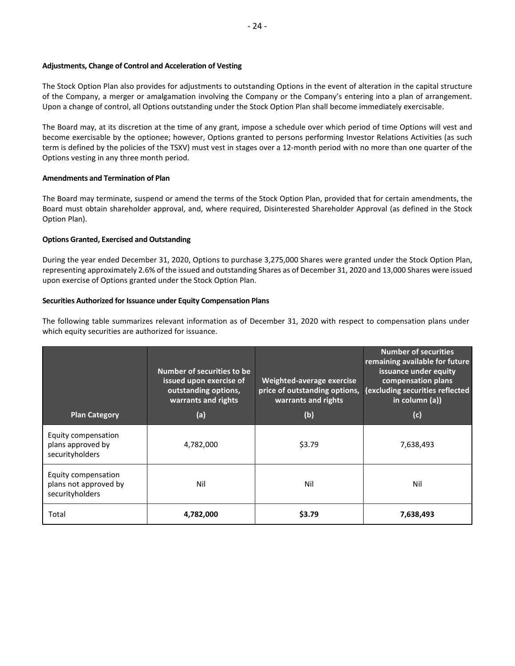### **Adjustments, Change of Control and Acceleration of Vesting**

The Stock Option Plan also provides for adjustments to outstanding Options in the event of alteration in the capital structure of the Company, a merger or amalgamation involving the Company or the Company's entering into a plan of arrangement. Upon a change of control, all Options outstanding under the Stock Option Plan shall become immediately exercisable.

The Board may, at its discretion at the time of any grant, impose a schedule over which period of time Options will vest and become exercisable by the optionee; however, Options granted to persons performing Investor Relations Activities (as such term is defined by the policies of the TSXV) must vest in stages over a 12-month period with no more than one quarter of the Options vesting in any three month period.

## **Amendments and Termination of Plan**

The Board may terminate, suspend or amend the terms of the Stock Option Plan, provided that for certain amendments, the Board must obtain shareholder approval, and, where required, Disinterested Shareholder Approval (as defined in the Stock Option Plan).

## **Options Granted, Exercised and Outstanding**

During the year ended December 31, 2020, Options to purchase 3,275,000 Shares were granted under the Stock Option Plan, representing approximately 2.6% of the issued and outstanding Shares as of December 31, 2020 and 13,000 Shares were issued upon exercise of Options granted under the Stock Option Plan.

## **Securities Authorized for Issuance under Equity Compensation Plans**

The following table summarizes relevant information as of December 31, 2020 with respect to compensation plans under which equity securities are authorized for issuance.

| <b>Plan Category</b>                                            | Number of securities to be<br>issued upon exercise of<br>outstanding options,<br>warrants and rights<br>(a) | Weighted-average exercise<br>price of outstanding options,<br>warrants and rights<br>(b) | <b>Number of securities</b><br>remaining available for future<br>issuance under equity<br>compensation plans<br>(excluding securities reflected<br>in column (a))<br>(c) |
|-----------------------------------------------------------------|-------------------------------------------------------------------------------------------------------------|------------------------------------------------------------------------------------------|--------------------------------------------------------------------------------------------------------------------------------------------------------------------------|
| Equity compensation<br>plans approved by<br>securityholders     | 4,782,000                                                                                                   | \$3.79                                                                                   | 7,638,493                                                                                                                                                                |
| Equity compensation<br>plans not approved by<br>securityholders | Nil                                                                                                         | Nil                                                                                      | Nil                                                                                                                                                                      |
| Total                                                           | 4,782,000                                                                                                   | \$3.79                                                                                   | 7,638,493                                                                                                                                                                |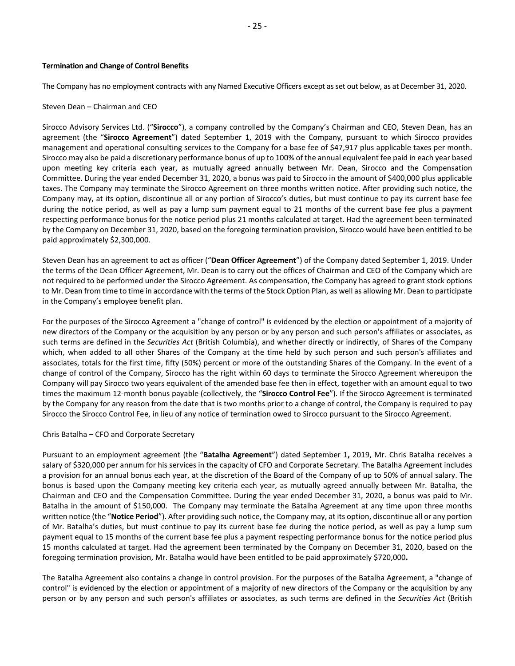#### **Termination and Change of Control Benefits**

The Company has no employment contracts with any Named Executive Officers except as set out below, as at December 31, 2020.

## Steven Dean – Chairman and CEO

Sirocco Advisory Services Ltd. ("**Sirocco**"), a company controlled by the Company's Chairman and CEO, Steven Dean, has an agreement (the "**Sirocco Agreement**") dated September 1, 2019 with the Company, pursuant to which Sirocco provides management and operational consulting services to the Company for a base fee of \$47,917 plus applicable taxes per month. Sirocco may also be paid a discretionary performance bonus of up to 100% of the annual equivalent fee paid in each year based upon meeting key criteria each year, as mutually agreed annually between Mr. Dean, Sirocco and the Compensation Committee. During the year ended December 31, 2020, a bonus was paid to Sirocco in the amount of \$400,000 plus applicable taxes. The Company may terminate the Sirocco Agreement on three months written notice. After providing such notice, the Company may, at its option, discontinue all or any portion of Sirocco's duties, but must continue to pay its current base fee during the notice period, as well as pay a lump sum payment equal to 21 months of the current base fee plus a payment respecting performance bonus for the notice period plus 21 months calculated at target. Had the agreement been terminated by the Company on December 31, 2020, based on the foregoing termination provision, Sirocco would have been entitled to be paid approximately \$2,300,000.

Steven Dean has an agreement to act as officer ("**Dean Officer Agreement**") of the Company dated September 1, 2019. Under the terms of the Dean Officer Agreement, Mr. Dean is to carry out the offices of Chairman and CEO of the Company which are not required to be performed under the Sirocco Agreement. As compensation, the Company has agreed to grant stock options to Mr. Dean from time to time in accordance with the terms of the Stock Option Plan, as well as allowing Mr. Dean to participate in the Company's employee benefit plan.

For the purposes of the Sirocco Agreement a "change of control" is evidenced by the election or appointment of a majority of new directors of the Company or the acquisition by any person or by any person and such person's affiliates or associates, as such terms are defined in the *Securities Act* (British Columbia), and whether directly or indirectly, of Shares of the Company which, when added to all other Shares of the Company at the time held by such person and such person's affiliates and associates, totals for the first time, fifty (50%) percent or more of the outstanding Shares of the Company. In the event of a change of control of the Company, Sirocco has the right within 60 days to terminate the Sirocco Agreement whereupon the Company will pay Sirocco two years equivalent of the amended base fee then in effect, together with an amount equal to two times the maximum 12-month bonus payable (collectively, the "**Sirocco Control Fee**"). If the Sirocco Agreement is terminated by the Company for any reason from the date that is two months prior to a change of control, the Company is required to pay Sirocco the Sirocco Control Fee, in lieu of any notice of termination owed to Sirocco pursuant to the Sirocco Agreement.

#### Chris Batalha – CFO and Corporate Secretary

Pursuant to an employment agreement (the "**Batalha Agreement**") dated September 1**,** 2019, Mr. Chris Batalha receives a salary of \$320,000 per annum for his services in the capacity of CFO and Corporate Secretary. The Batalha Agreement includes a provision for an annual bonus each year, at the discretion of the Board of the Company of up to 50% of annual salary. The bonus is based upon the Company meeting key criteria each year, as mutually agreed annually between Mr. Batalha, the Chairman and CEO and the Compensation Committee. During the year ended December 31, 2020, a bonus was paid to Mr. Batalha in the amount of \$150,000. The Company may terminate the Batalha Agreement at any time upon three months written notice (the "**Notice Period**"). After providing such notice, the Company may, at its option, discontinue all or any portion of Mr. Batalha's duties, but must continue to pay its current base fee during the notice period, as well as pay a lump sum payment equal to 15 months of the current base fee plus a payment respecting performance bonus for the notice period plus 15 months calculated at target. Had the agreement been terminated by the Company on December 31, 2020, based on the foregoing termination provision, Mr. Batalha would have been entitled to be paid approximately \$720,000**.**

The Batalha Agreement also contains a change in control provision. For the purposes of the Batalha Agreement, a "change of control" is evidenced by the election or appointment of a majority of new directors of the Company or the acquisition by any person or by any person and such person's affiliates or associates, as such terms are defined in the *Securities Act* (British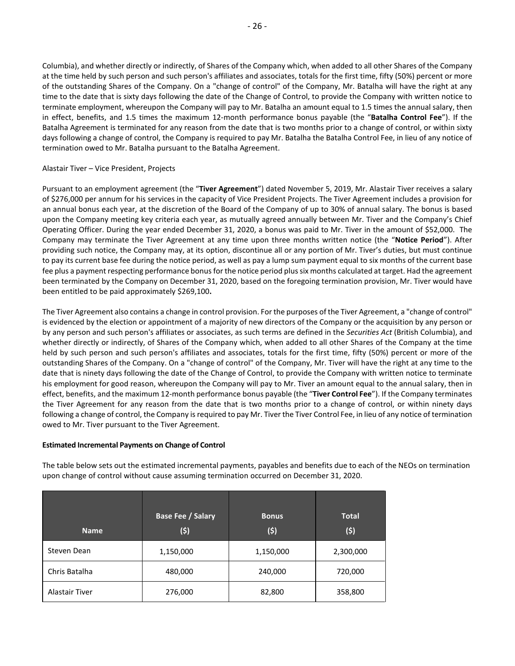Columbia), and whether directly or indirectly, of Shares of the Company which, when added to all other Shares of the Company at the time held by such person and such person's affiliates and associates, totals for the first time, fifty (50%) percent or more of the outstanding Shares of the Company. On a "change of control" of the Company, Mr. Batalha will have the right at any time to the date that is sixty days following the date of the Change of Control, to provide the Company with written notice to terminate employment, whereupon the Company will pay to Mr. Batalha an amount equal to 1.5 times the annual salary, then in effect, benefits, and 1.5 times the maximum 12-month performance bonus payable (the "**Batalha Control Fee**"). If the Batalha Agreement is terminated for any reason from the date that is two months prior to a change of control, or within sixty days following a change of control, the Company is required to pay Mr. Batalha the Batalha Control Fee, in lieu of any notice of termination owed to Mr. Batalha pursuant to the Batalha Agreement.

## Alastair Tiver – Vice President, Projects

Pursuant to an employment agreement (the "**Tiver Agreement**") dated November 5, 2019, Mr. Alastair Tiver receives a salary of \$276,000 per annum for his services in the capacity of Vice President Projects. The Tiver Agreement includes a provision for an annual bonus each year, at the discretion of the Board of the Company of up to 30% of annual salary. The bonus is based upon the Company meeting key criteria each year, as mutually agreed annually between Mr. Tiver and the Company's Chief Operating Officer. During the year ended December 31, 2020, a bonus was paid to Mr. Tiver in the amount of \$52,000. The Company may terminate the Tiver Agreement at any time upon three months written notice (the "**Notice Period**"). After providing such notice, the Company may, at its option, discontinue all or any portion of Mr. Tiver's duties, but must continue to pay its current base fee during the notice period, as well as pay a lump sum payment equal to six months of the current base fee plus a payment respecting performance bonus for the notice period plus six months calculated at target. Had the agreement been terminated by the Company on December 31, 2020, based on the foregoing termination provision, Mr. Tiver would have been entitled to be paid approximately \$269,100**.**

The Tiver Agreement also contains a change in control provision. For the purposes of the Tiver Agreement, a "change of control" is evidenced by the election or appointment of a majority of new directors of the Company or the acquisition by any person or by any person and such person's affiliates or associates, as such terms are defined in the *Securities Act* (British Columbia), and whether directly or indirectly, of Shares of the Company which, when added to all other Shares of the Company at the time held by such person and such person's affiliates and associates, totals for the first time, fifty (50%) percent or more of the outstanding Shares of the Company. On a "change of control" of the Company, Mr. Tiver will have the right at any time to the date that is ninety days following the date of the Change of Control, to provide the Company with written notice to terminate his employment for good reason, whereupon the Company will pay to Mr. Tiver an amount equal to the annual salary, then in effect, benefits, and the maximum 12-month performance bonus payable (the "**Tiver Control Fee**"). If the Company terminates the Tiver Agreement for any reason from the date that is two months prior to a change of control, or within ninety days following a change of control, the Company is required to pay Mr. Tiver the Tiver Control Fee, in lieu of any notice of termination owed to Mr. Tiver pursuant to the Tiver Agreement.

#### **Estimated Incremental Payments on Change of Control**

The table below sets out the estimated incremental payments, payables and benefits due to each of the NEOs on termination upon change of control without cause assuming termination occurred on December 31, 2020.

|                       | <b>Base Fee / Salary</b> | <b>Bonus</b> | <b>Total</b> |
|-----------------------|--------------------------|--------------|--------------|
| <b>Name</b>           | (\$)                     | (\$)         | (\$)         |
| Steven Dean           | 1,150,000                | 1,150,000    | 2,300,000    |
| Chris Batalha         | 480,000                  | 240,000      | 720,000      |
| <b>Alastair Tiver</b> | 276,000                  | 82,800       | 358,800      |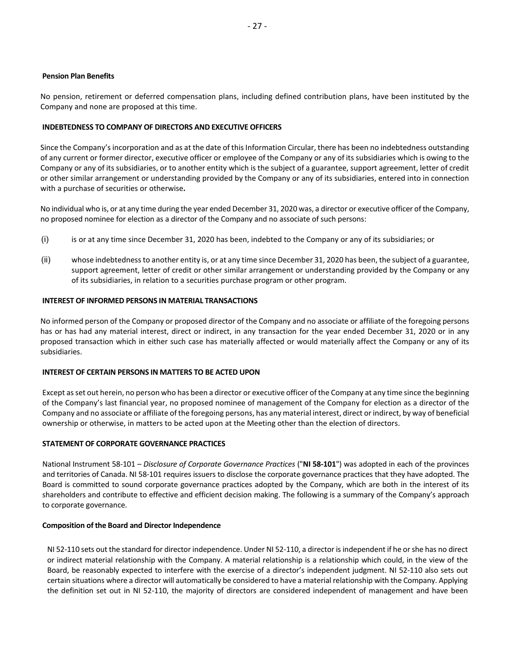### **Pension Plan Benefits**

No pension, retirement or deferred compensation plans, including defined contribution plans, have been instituted by the Company and none are proposed at this time.

## <span id="page-28-0"></span>**INDEBTEDNESS TO COMPANY OF DIRECTORS AND EXECUTIVE OFFICERS**

Since the Company's incorporation and as at the date of this Information Circular, there has been no indebtedness outstanding of any current or former director, executive officer or employee of the Company or any of its subsidiaries which is owing to the Company or any of its subsidiaries, or to another entity which is the subject of a guarantee, support agreement, letter of credit or other similar arrangement or understanding provided by the Company or any of its subsidiaries, entered into in connection with a purchase of securities or otherwise**.**

No individual who is, or at any time during the year ended December 31, 2020 was, a director or executive officer of the Company, no proposed nominee for election as a director of the Company and no associate of such persons:

- (i) is or at any time since December 31, 2020 has been, indebted to the Company or any of its subsidiaries; or
- (ii) whose indebtedness to another entity is, or at any time since December 31, 2020 has been, the subject of a guarantee, support agreement, letter of credit or other similar arrangement or understanding provided by the Company or any of its subsidiaries, in relation to a securities purchase program or other program.

## <span id="page-28-1"></span>**INTEREST OF INFORMED PERSONS IN MATERIAL TRANSACTIONS**

No informed person of the Company or proposed director of the Company and no associate or affiliate of the foregoing persons has or has had any material interest, direct or indirect, in any transaction for the year ended December 31, 2020 or in any proposed transaction which in either such case has materially affected or would materially affect the Company or any of its subsidiaries.

#### <span id="page-28-2"></span>**INTEREST OF CERTAIN PERSONS IN MATTERS TO BE ACTED UPON**

Except as set out herein, no person who has been a director or executive officer of the Company at any time since the beginning of the Company's last financial year, no proposed nominee of management of the Company for election as a director of the Company and no associate or affiliate of the foregoing persons, has any material interest, direct or indirect, by way of beneficial ownership or otherwise, in matters to be acted upon at the Meeting other than the election of directors.

## <span id="page-28-3"></span>**STATEMENT OF CORPORATE GOVERNANCE PRACTICES**

National Instrument 58-101 – *Disclosure of Corporate Governance Practices* ("**NI 58-101**") was adopted in each of the provinces and territories of Canada. NI 58-101 requires issuers to disclose the corporate governance practices that they have adopted. The Board is committed to sound corporate governance practices adopted by the Company, which are both in the interest of its shareholders and contribute to effective and efficient decision making. The following is a summary of the Company's approach to corporate governance.

#### **Composition of the Board and Director Independence**

NI 52-110 sets out the standard for director independence. Under NI 52-110, a director is independent if he or she has no direct or indirect material relationship with the Company. A material relationship is a relationship which could, in the view of the Board, be reasonably expected to interfere with the exercise of a director's independent judgment. NI 52-110 also sets out certain situations where a director will automatically be considered to have a material relationship with the Company. Applying the definition set out in NI 52-110, the majority of directors are considered independent of management and have been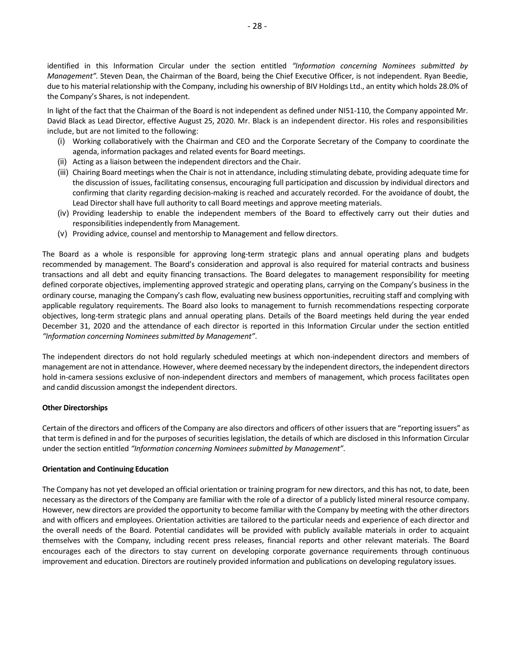identified in this Information Circular under the section entitled *"Information concerning Nominees submitted by Management".* Steven Dean, the Chairman of the Board, being the Chief Executive Officer, is not independent. Ryan Beedie, due to his material relationship with the Company, including his ownership of BIV Holdings Ltd., an entity which holds 28.0% of the Company's Shares, is not independent.

In light of the fact that the Chairman of the Board is not independent as defined under NI51-110, the Company appointed Mr. David Black as Lead Director, effective August 25, 2020. Mr. Black is an independent director. His roles and responsibilities include, but are not limited to the following:

- (i) Working collaboratively with the Chairman and CEO and the Corporate Secretary of the Company to coordinate the agenda, information packages and related events for Board meetings.
- (ii) Acting as a liaison between the independent directors and the Chair.
- (iii) Chairing Board meetings when the Chair is not in attendance, including stimulating debate, providing adequate time for the discussion of issues, facilitating consensus, encouraging full participation and discussion by individual directors and confirming that clarity regarding decision-making is reached and accurately recorded. For the avoidance of doubt, the Lead Director shall have full authority to call Board meetings and approve meeting materials.
- (iv) Providing leadership to enable the independent members of the Board to effectively carry out their duties and responsibilities independently from Management.
- (v) Providing advice, counsel and mentorship to Management and fellow directors.

The Board as a whole is responsible for approving long-term strategic plans and annual operating plans and budgets recommended by management. The Board's consideration and approval is also required for material contracts and business transactions and all debt and equity financing transactions. The Board delegates to management responsibility for meeting defined corporate objectives, implementing approved strategic and operating plans, carrying on the Company's business in the ordinary course, managing the Company's cash flow, evaluating new business opportunities, recruiting staff and complying with applicable regulatory requirements. The Board also looks to management to furnish recommendations respecting corporate objectives, long-term strategic plans and annual operating plans. Details of the Board meetings held during the year ended December 31, 2020 and the attendance of each director is reported in this Information Circular under the section entitled *"Information concerning Nominees submitted by Management"*.

The independent directors do not hold regularly scheduled meetings at which non-independent directors and members of management are not in attendance. However, where deemed necessary by the independent directors, the independent directors hold in-camera sessions exclusive of non-independent directors and members of management, which process facilitates open and candid discussion amongst the independent directors.

#### **Other Directorships**

Certain of the directors and officers of the Company are also directors and officers of other issuers that are "reporting issuers" as that term is defined in and for the purposes of securities legislation, the details of which are disclosed in this Information Circular under the section entitled *"Information concerning Nominees submitted by Management"*.

#### **Orientation and Continuing Education**

The Company has not yet developed an official orientation or training program for new directors, and this has not, to date, been necessary as the directors of the Company are familiar with the role of a director of a publicly listed mineral resource company. However, new directors are provided the opportunity to become familiar with the Company by meeting with the other directors and with officers and employees. Orientation activities are tailored to the particular needs and experience of each director and the overall needs of the Board. Potential candidates will be provided with publicly available materials in order to acquaint themselves with the Company, including recent press releases, financial reports and other relevant materials. The Board encourages each of the directors to stay current on developing corporate governance requirements through continuous improvement and education. Directors are routinely provided information and publications on developing regulatory issues.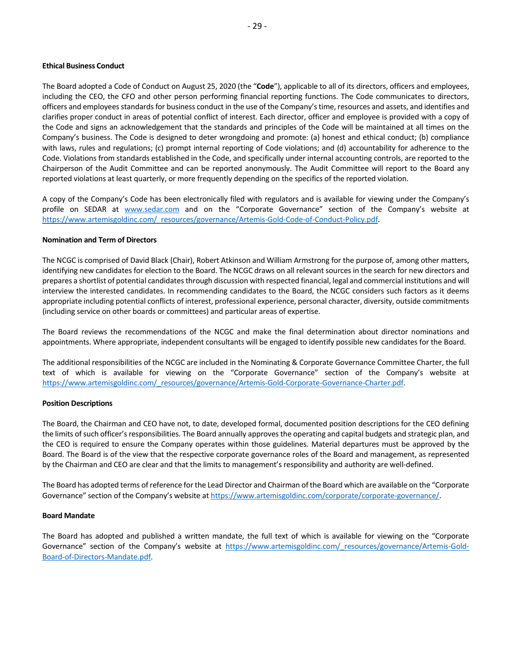#### **Ethical Business Conduct**

The Board adopted a Code of Conduct on August 25, 2020 (the "**Code**"), applicable to all of its directors, officers and employees, including the CEO, the CFO and other person performing financial reporting functions. The Code communicates to directors, officers and employees standards for business conduct in the use of the Company's time, resources and assets, and identifies and clarifies proper conduct in areas of potential conflict of interest. Each director, officer and employee is provided with a copy of the Code and signs an acknowledgement that the standards and principles of the Code will be maintained at all times on the Company's business. The Code is designed to deter wrongdoing and promote: (a) honest and ethical conduct; (b) compliance with laws, rules and regulations; (c) prompt internal reporting of Code violations; and (d) accountability for adherence to the Code. Violations from standards established in the Code, and specifically under internal accounting controls, are reported to the Chairperson of the Audit Committee and can be reported anonymously. The Audit Committee will report to the Board any reported violations at least quarterly, or more frequently depending on the specifics of the reported violation.

A copy of the Company's Code has been electronically filed with regulators and is available for viewing under the Company's profile on SEDAR at [www.sedar.com](http://www.sedar.com/) and on the "Corporate Governance" section of the Company's website at [https://www.artemisgoldinc.com/\\_resources/governance/Artemis-Gold-Code-of-Conduct-Policy.pdf.](https://www.artemisgoldinc.com/_resources/governance/Artemis-Gold-Code-of-Conduct-Policy.pdf) 

#### **Nomination and Term of Directors**

The NCGC is comprised of David Black (Chair), Robert Atkinson and William Armstrong for the purpose of, among other matters, identifying new candidates for election to the Board. The NCGC draws on all relevant sources in the search for new directors and prepares a shortlist of potential candidates through discussion with respected financial, legal and commercial institutions and will interview the interested candidates. In recommending candidates to the Board, the NCGC considers such factors as it deems appropriate including potential conflicts of interest, professional experience, personal character, diversity, outside commitments (including service on other boards or committees) and particular areas of expertise.

The Board reviews the recommendations of the NCGC and make the final determination about director nominations and appointments. Where appropriate, independent consultants will be engaged to identify possible new candidates for the Board.

The additional responsibilities of the NCGC are included in the Nominating & Corporate Governance Committee Charter, the full text of which is available for viewing on the "Corporate Governance" section of the Company's website at [https://www.artemisgoldinc.com/\\_resources/governance/Artemis-Gold-Corporate-Governance-Charter.pdf.](https://www.artemisgoldinc.com/_resources/governance/Artemis-Gold-Corporate-Governance-Charter.pdf)

#### **Position Descriptions**

The Board, the Chairman and CEO have not, to date, developed formal, documented position descriptions for the CEO defining the limits of such officer's responsibilities. The Board annually approves the operating and capital budgets and strategic plan, and the CEO is required to ensure the Company operates within those guidelines. Material departures must be approved by the Board. The Board is of the view that the respective corporate governance roles of the Board and management, as represented by the Chairman and CEO are clear and that the limits to management's responsibility and authority are well-defined.

The Board has adopted terms of reference for the Lead Director and Chairman of the Board which are available on the "Corporate Governance" section of the Company's website at [https://www.artemisgoldinc.com/corporate/corporate-governance/.](https://www.artemisgoldinc.com/corporate/corporate-governance/) 

#### **Board Mandate**

The Board has adopted and published a written mandate, the full text of which is available for viewing on the "Corporate Governance" section of the Company's website at [https://www.artemisgoldinc.com/\\_resources/governance/Artemis-Gold-](https://www.artemisgoldinc.com/_resources/governance/Artemis-Gold-Board-of-Directors-Mandate.pdf)[Board-of-Directors-Mandate.pdf.](https://www.artemisgoldinc.com/_resources/governance/Artemis-Gold-Board-of-Directors-Mandate.pdf)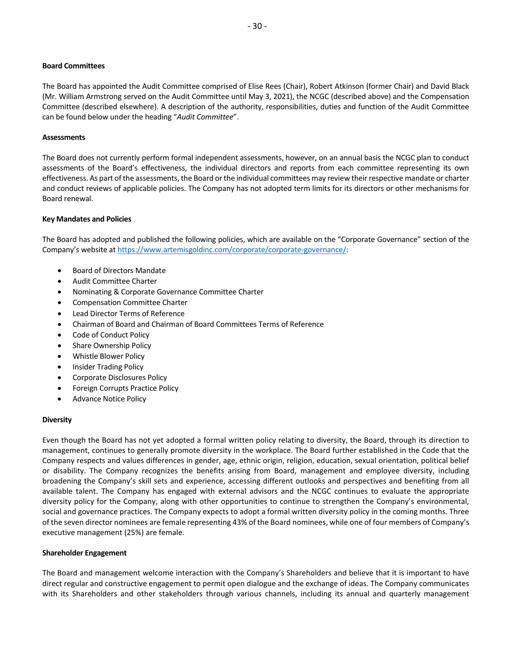#### **Board Committees**

The Board has appointed the Audit Committee comprised of Elise Rees (Chair), Robert Atkinson (former Chair) and David Black (Mr. William Armstrong served on the Audit Committee until May 3, 2021), the NCGC (described above) and the Compensation Committee (described elsewhere). A description of the authority, responsibilities, duties and function of the Audit Committee can be found below under the heading "*Audit Committee*".

#### **Assessments**

The Board does not currently perform formal independent assessments, however, on an annual basis the NCGC plan to conduct assessments of the Board's effectiveness, the individual directors and reports from each committee representing its own effectiveness. As part of the assessments, the Board or the individual committees may review their respective mandate or charter and conduct reviews of applicable policies. The Company has not adopted term limits for its directors or other mechanisms for Board renewal.

#### **Key Mandates and Policies**

The Board has adopted and published the following policies, which are available on the "Corporate Governance" section of the Company's website at [https://www.artemisgoldinc.com/corporate/corporate-governance/:](https://www.artemisgoldinc.com/corporate/corporate-governance/)

- Board of Directors Mandate
- Audit Committee Charter
- Nominating & Corporate Governance Committee Charter
- Compensation Committee Charter
- Lead Director Terms of Reference
- Chairman of Board and Chairman of Board Committees Terms of Reference
- Code of Conduct Policy
- Share Ownership Policy
- Whistle Blower Policy
- Insider Trading Policy
- Corporate Disclosures Policy
- Foreign Corrupts Practice Policy
- Advance Notice Policy

#### **Diversity**

Even though the Board has not yet adopted a formal written policy relating to diversity, the Board, through its direction to management, continues to generally promote diversity in the workplace. The Board further established in the Code that the Company respects and values differences in gender, age, ethnic origin, religion, education, sexual orientation, political belief or disability. The Company recognizes the benefits arising from Board, management and employee diversity, including broadening the Company's skill sets and experience, accessing different outlooks and perspectives and benefiting from all available talent. The Company has engaged with external advisors and the NCGC continues to evaluate the appropriate diversity policy for the Company, along with other opportunities to continue to strengthen the Company's environmental, social and governance practices. The Company expects to adopt a formal written diversity policy in the coming months. Three of the seven director nominees are female representing 43% of the Board nominees, while one of four members of Company's executive management (25%) are female.

#### **Shareholder Engagement**

The Board and management welcome interaction with the Company's Shareholders and believe that it is important to have direct regular and constructive engagement to permit open dialogue and the exchange of ideas. The Company communicates with its Shareholders and other stakeholders through various channels, including its annual and quarterly management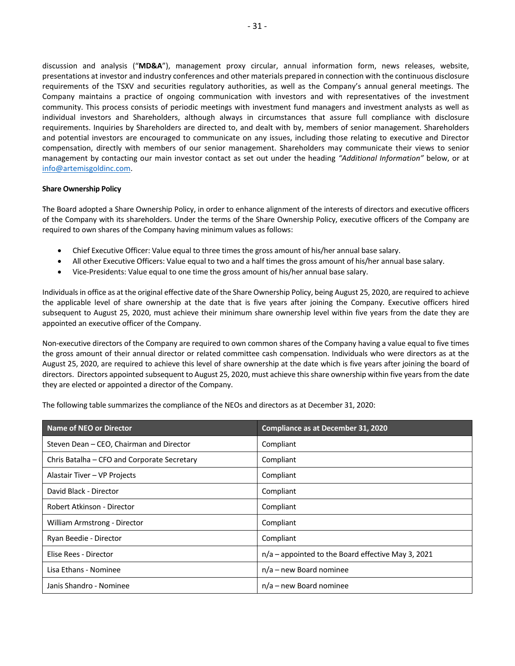discussion and analysis ("**MD&A**"), management proxy circular, annual information form, news releases, website, presentations at investor and industry conferences and other materials prepared in connection with the continuous disclosure requirements of the TSXV and securities regulatory authorities, as well as the Company's annual general meetings. The Company maintains a practice of ongoing communication with investors and with representatives of the investment community. This process consists of periodic meetings with investment fund managers and investment analysts as well as individual investors and Shareholders, although always in circumstances that assure full compliance with disclosure requirements. Inquiries by Shareholders are directed to, and dealt with by, members of senior management. Shareholders and potential investors are encouraged to communicate on any issues, including those relating to executive and Director compensation, directly with members of our senior management. Shareholders may communicate their views to senior management by contacting our main investor contact as set out under the heading *"Additional Information"* below, or at [info@artemisgoldinc.com.](mailto:info@artemisgoldinc.com)

#### **Share Ownership Policy**

The Board adopted a Share Ownership Policy, in order to enhance alignment of the interests of directors and executive officers of the Company with its shareholders. Under the terms of the Share Ownership Policy, executive officers of the Company are required to own shares of the Company having minimum values as follows:

- Chief Executive Officer: Value equal to three times the gross amount of his/her annual base salary.
- All other Executive Officers: Value equal to two and a half times the gross amount of his/her annual base salary.
- Vice-Presidents: Value equal to one time the gross amount of his/her annual base salary.

Individuals in office as at the original effective date of the Share Ownership Policy, being August 25, 2020, are required to achieve the applicable level of share ownership at the date that is five years after joining the Company. Executive officers hired subsequent to August 25, 2020, must achieve their minimum share ownership level within five years from the date they are appointed an executive officer of the Company.

Non-executive directors of the Company are required to own common shares of the Company having a value equal to five times the gross amount of their annual director or related committee cash compensation. Individuals who were directors as at the August 25, 2020, are required to achieve this level of share ownership at the date which is five years after joining the board of directors. Directors appointed subsequent to August 25, 2020, must achieve this share ownership within five years from the date they are elected or appointed a director of the Company.

The following table summarizes the compliance of the NEOs and directors as at December 31, 2020:

| Name of NEO or Director                     | <b>Compliance as at December 31, 2020</b>          |
|---------------------------------------------|----------------------------------------------------|
| Steven Dean - CEO, Chairman and Director    | Compliant                                          |
| Chris Batalha - CFO and Corporate Secretary | Compliant                                          |
| Alastair Tiver - VP Projects                | Compliant                                          |
| David Black - Director                      | Compliant                                          |
| Robert Atkinson - Director                  | Compliant                                          |
| William Armstrong - Director                | Compliant                                          |
| Ryan Beedie - Director                      | Compliant                                          |
| Elise Rees - Director                       | n/a - appointed to the Board effective May 3, 2021 |
| Lisa Ethans - Nominee                       | $n/a$ – new Board nominee                          |
| Janis Shandro - Nominee                     | $n/a$ – new Board nominee                          |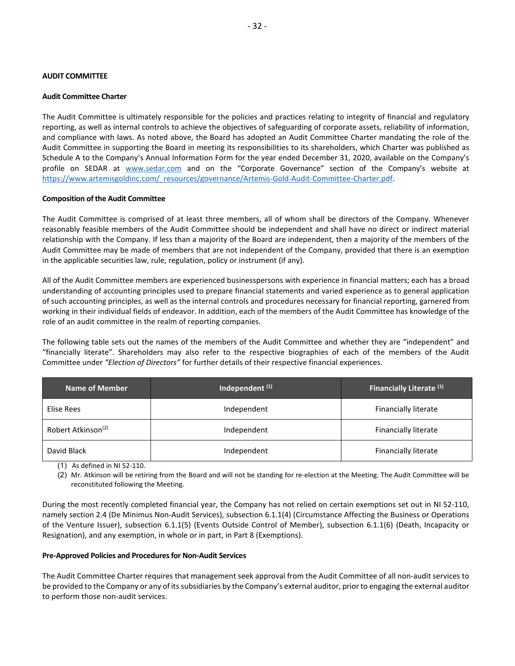#### <span id="page-33-0"></span>**AUDIT COMMITTEE**

#### **Audit Committee Charter**

The Audit Committee is ultimately responsible for the policies and practices relating to integrity of financial and regulatory reporting, as well as internal controls to achieve the objectives of safeguarding of corporate assets, reliability of information, and compliance with laws. As noted above, the Board has adopted an Audit Committee Charter mandating the role of the Audit Committee in supporting the Board in meeting its responsibilities to its shareholders, which Charter was published as Schedule A to the Company's Annual Information Form for the year ended December 31, 2020, available on the Company's profile on SEDAR at [www.sedar.com](http://www.sedar.com/) and on the "Corporate Governance" section of the Company's website at [https://www.artemisgoldinc.com/\\_resources/governance/Artemis-Gold-Audit-Committee-Charter.pdf.](https://www.artemisgoldinc.com/_resources/governance/Artemis-Gold-Audit-Committee-Charter.pdf)

#### **Composition of the Audit Committee**

The Audit Committee is comprised of at least three members, all of whom shall be directors of the Company. Whenever reasonably feasible members of the Audit Committee should be independent and shall have no direct or indirect material relationship with the Company. If less than a majority of the Board are independent, then a majority of the members of the Audit Committee may be made of members that are not independent of the Company, provided that there is an exemption in the applicable securities law, rule, regulation, policy or instrument (if any).

All of the Audit Committee members are experienced businesspersons with experience in financial matters; each has a broad understanding of accounting principles used to prepare financial statements and varied experience as to general application of such accounting principles, as well as the internal controls and procedures necessary for financial reporting, garnered from working in their individual fields of endeavor. In addition, each of the members of the Audit Committee has knowledge of the role of an audit committee in the realm of reporting companies.

The following table sets out the names of the members of the Audit Committee and whether they are "independent" and "financially literate". Shareholders may also refer to the respective biographies of each of the members of the Audit Committee under *"Election of Directors"* for further details of their respective financial experiences.

| <b>Name of Member</b>          | Independent <sup>(1)</sup> | Financially Literate <sup>(1)</sup> |
|--------------------------------|----------------------------|-------------------------------------|
| Elise Rees                     | Independent                | Financially literate                |
| Robert Atkinson <sup>(2)</sup> | Independent                | Financially literate                |
| David Black                    | Independent                | Financially literate                |

(1) As defined in NI 52-110.

(2) Mr. Atkinson will be retiring from the Board and will not be standing for re-election at the Meeting. The Audit Committee will be reconstituted following the Meeting.

During the most recently completed financial year, the Company has not relied on certain exemptions set out in NI 52-110, namely section 2.4 (De Minimus Non-Audit Services), subsection 6.1.1(4) (Circumstance Affecting the Business or Operations of the Venture Issuer), subsection 6.1.1(5) (Events Outside Control of Member), subsection 6.1.1(6) (Death, Incapacity or Resignation), and any exemption, in whole or in part, in Part 8 (Exemptions).

#### **Pre-Approved Policies and Procedures for Non-Audit Services**

The Audit Committee Charter requires that management seek approval from the Audit Committee of all non-audit services to be provided to the Company or any of its subsidiaries by the Company's external auditor, prior to engaging the external auditor to perform those non-audit services.